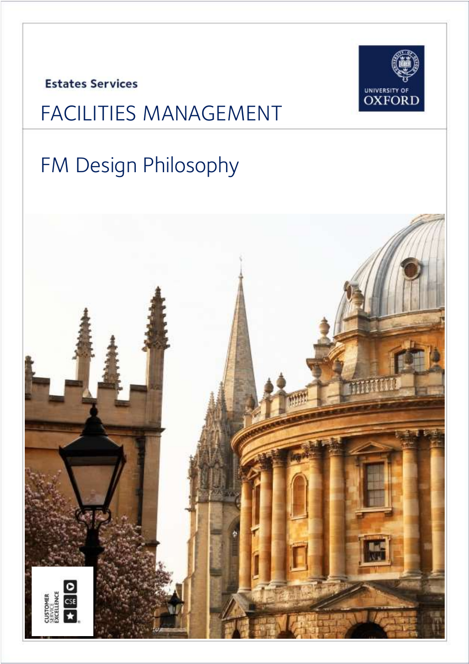**Estates Services** 



# FACILITIES MANAGEMENT

# FM Design Philosophy

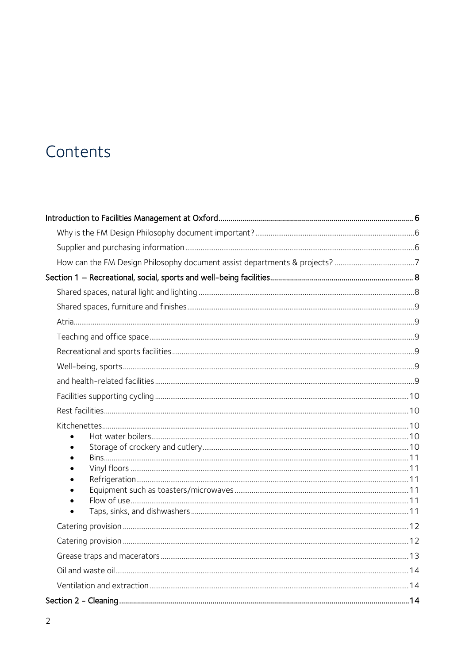### Contents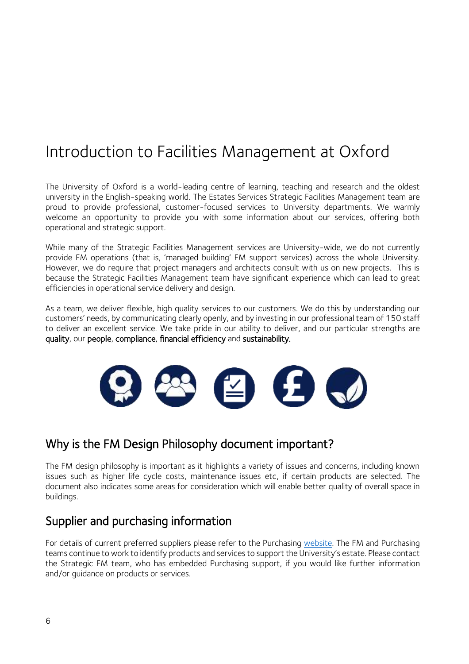### <span id="page-5-0"></span>Introduction to Facilities Management at Oxford

The University of Oxford is a world-leading centre of learning, teaching and research and the oldest university in the English-speaking world. The Estates Services Strategic Facilities Management team are proud to provide professional, customer-focused services to University departments. We warmly welcome an opportunity to provide you with some information about our services, offering both operational and strategic support.

While many of the Strategic Facilities Management services are University-wide, we do not currently provide FM operations (that is, 'managed building' FM support services) across the whole University. However, we do require that project managers and architects consult with us on new projects. This is because the Strategic Facilities Management team have significant experience which can lead to great efficiencies in operational service delivery and design.

As a team, we deliver flexible, high quality services to our customers. We do this by understanding our customers' needs, by communicating clearly openly, and by investing in our professional team of 150 staff to deliver an excellent service. We take pride in our ability to deliver, and our particular strengths are quality, our people, compliance, financial efficiency and sustainability.



### <span id="page-5-1"></span>Why is the FM Design Philosophy document important?

The FM design philosophy is important as it highlights a variety of issues and concerns, including known issues such as higher life cycle costs, maintenance issues etc, if certain products are selected. The document also indicates some areas for consideration which will enable better quality of overall space in buildings.

### <span id="page-5-2"></span>Supplier and purchasing information

For details of current preferred suppliers please refer to the Purchasing [website.](https://finance.admin.ox.ac.uk/preferred-suppliers) The FM and Purchasing teams continue to work to identify products and services to support the University's estate. Please contact the Strategic FM team, who has embedded Purchasing support, if you would like further information and/or guidance on products or services.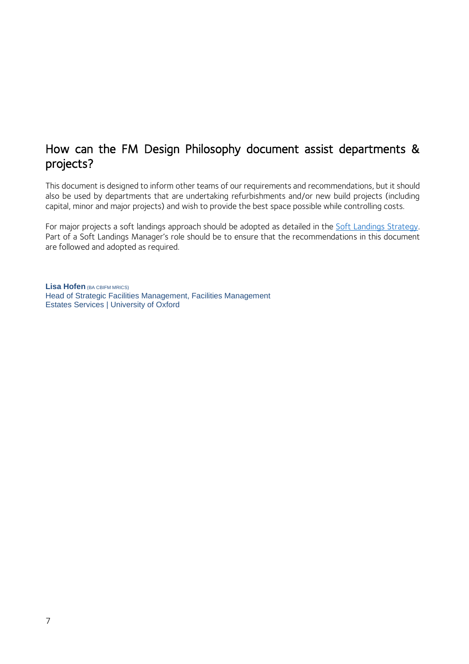#### <span id="page-6-0"></span>How can the FM Design Philosophy document assist departments & projects?

This document is designed to inform other teams of our requirements and recommendations, but it should also be used by departments that are undertaking refurbishments and/or new build projects (including capital, minor and major projects) and wish to provide the best space possible while controlling costs.

For major projects a soft landings approach should be adopted as detailed in the Soft Landings Strategy. Part of a Soft Landings Manager's role should be to ensure that the recommendations in this document are followed and adopted as required.

**Lisa Hofen** (BA CBIFM MRICS) Head of Strategic Facilities Management, Facilities Management Estates Services | University of Oxford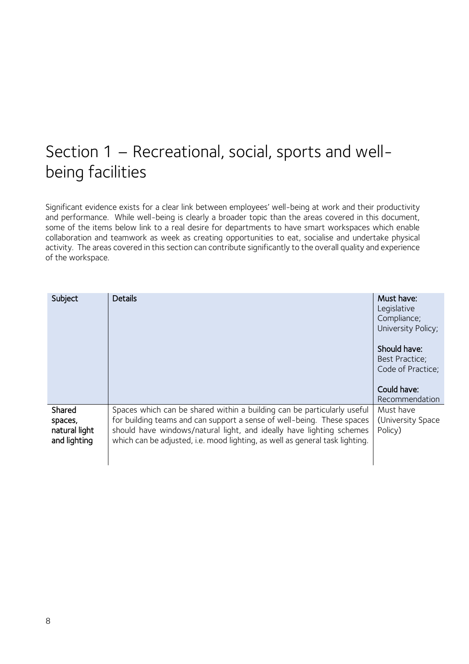### <span id="page-7-0"></span>Section 1 – Recreational, social, sports and wellbeing facilities

Significant evidence exists for a clear link between employees' well-being at work and their productivity and performance. While well-being is clearly a broader topic than the areas covered in this document, some of the items below link to a real desire for departments to have smart workspaces which enable collaboration and teamwork as week as creating opportunities to eat, socialise and undertake physical activity. The areas covered in this section can contribute significantly to the overall quality and experience of the workspace.

<span id="page-7-1"></span>

| Subject                                            | <b>Details</b>                                                                                                                                                                                                                                                                                            | Must have:<br>Legislative<br>Compliance;<br>University Policy; |
|----------------------------------------------------|-----------------------------------------------------------------------------------------------------------------------------------------------------------------------------------------------------------------------------------------------------------------------------------------------------------|----------------------------------------------------------------|
|                                                    |                                                                                                                                                                                                                                                                                                           | Should have:<br>Best Practice;<br>Code of Practice;            |
|                                                    |                                                                                                                                                                                                                                                                                                           | Could have:<br>Recommendation                                  |
| Shared<br>spaces,<br>natural light<br>and lighting | Spaces which can be shared within a building can be particularly useful<br>for building teams and can support a sense of well-being. These spaces<br>should have windows/natural light, and ideally have lighting schemes<br>which can be adjusted, i.e. mood lighting, as well as general task lighting. | Must have<br>(University Space)<br>Policy)                     |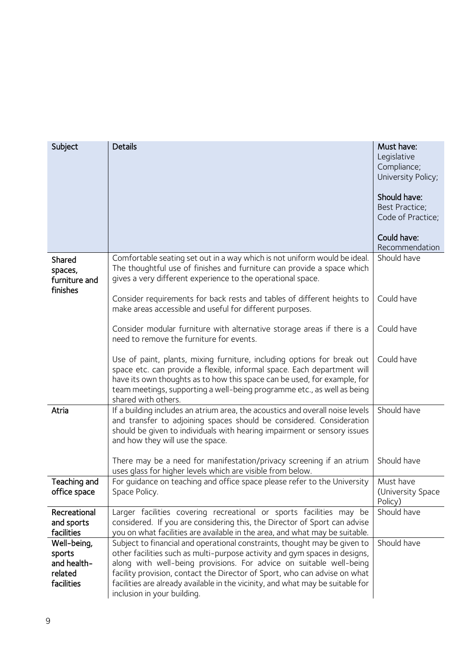<span id="page-8-5"></span><span id="page-8-4"></span><span id="page-8-3"></span><span id="page-8-2"></span><span id="page-8-1"></span><span id="page-8-0"></span>

| Subject                                                       | <b>Details</b>                                                                                                                                                                                                                                                                                                                                                                                                               | Must have:<br>Legislative<br>Compliance;<br>University Policy;<br>Should have:<br>Best Practice;<br>Code of Practice;<br>Could have: |
|---------------------------------------------------------------|------------------------------------------------------------------------------------------------------------------------------------------------------------------------------------------------------------------------------------------------------------------------------------------------------------------------------------------------------------------------------------------------------------------------------|--------------------------------------------------------------------------------------------------------------------------------------|
|                                                               |                                                                                                                                                                                                                                                                                                                                                                                                                              | Recommendation                                                                                                                       |
| Shared<br>spaces,<br>furniture and<br>finishes                | Comfortable seating set out in a way which is not uniform would be ideal.<br>The thoughtful use of finishes and furniture can provide a space which<br>gives a very different experience to the operational space.                                                                                                                                                                                                           | Should have                                                                                                                          |
|                                                               | Consider requirements for back rests and tables of different heights to<br>make areas accessible and useful for different purposes.                                                                                                                                                                                                                                                                                          | Could have                                                                                                                           |
|                                                               | Consider modular furniture with alternative storage areas if there is a<br>need to remove the furniture for events.                                                                                                                                                                                                                                                                                                          | Could have                                                                                                                           |
|                                                               | Use of paint, plants, mixing furniture, including options for break out<br>space etc. can provide a flexible, informal space. Each department will<br>have its own thoughts as to how this space can be used, for example, for<br>team meetings, supporting a well-being programme etc., as well as being<br>shared with others.                                                                                             | Could have                                                                                                                           |
| Atria                                                         | If a building includes an atrium area, the acoustics and overall noise levels<br>and transfer to adjoining spaces should be considered. Consideration<br>should be given to individuals with hearing impairment or sensory issues<br>and how they will use the space.                                                                                                                                                        | Should have                                                                                                                          |
|                                                               | There may be a need for manifestation/privacy screening if an atrium<br>uses glass for higher levels which are visible from below.                                                                                                                                                                                                                                                                                           | Should have                                                                                                                          |
| Teaching and<br>office space                                  | For guidance on teaching and office space please refer to the University<br>Space Policy.                                                                                                                                                                                                                                                                                                                                    | Must have<br>(University Space)<br>Policy)                                                                                           |
| Recreational<br>and sports<br>facilities                      | Larger facilities covering recreational or sports facilities may be<br>considered. If you are considering this, the Director of Sport can advise<br>you on what facilities are available in the area, and what may be suitable.                                                                                                                                                                                              | Should have                                                                                                                          |
| Well-being,<br>sports<br>and health-<br>related<br>facilities | Subject to financial and operational constraints, thought may be given to<br>other facilities such as multi-purpose activity and gym spaces in designs,<br>along with well-being provisions. For advice on suitable well-being<br>facility provision, contact the Director of Sport, who can advise on what<br>facilities are already available in the vicinity, and what may be suitable for<br>inclusion in your building. | Should have                                                                                                                          |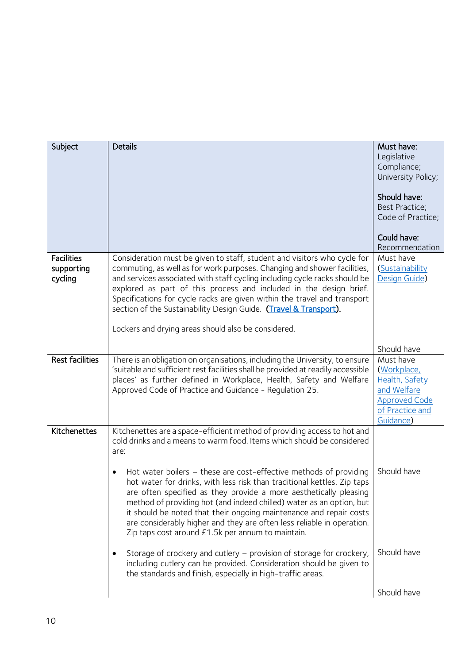<span id="page-9-4"></span><span id="page-9-3"></span><span id="page-9-2"></span><span id="page-9-1"></span><span id="page-9-0"></span>

| Subject                                    | <b>Details</b>                                                                                                                                                                                                                                                                                                                                                                                                                                                                                                   | Must have:<br>Legislative<br>Compliance;<br>University Policy;<br>Should have:<br>Best Practice;<br>Code of Practice;<br>Could have:<br>Recommendation |
|--------------------------------------------|------------------------------------------------------------------------------------------------------------------------------------------------------------------------------------------------------------------------------------------------------------------------------------------------------------------------------------------------------------------------------------------------------------------------------------------------------------------------------------------------------------------|--------------------------------------------------------------------------------------------------------------------------------------------------------|
| <b>Facilities</b><br>supporting<br>cycling | Consideration must be given to staff, student and visitors who cycle for<br>commuting, as well as for work purposes. Changing and shower facilities,<br>and services associated with staff cycling including cycle racks should be<br>explored as part of this process and included in the design brief.<br>Specifications for cycle racks are given within the travel and transport<br>section of the Sustainability Design Guide. (Travel & Transport).<br>Lockers and drying areas should also be considered. | Must have<br>(Sustainability<br>Design Guide)                                                                                                          |
|                                            |                                                                                                                                                                                                                                                                                                                                                                                                                                                                                                                  | Should have                                                                                                                                            |
| <b>Rest facilities</b>                     | There is an obligation on organisations, including the University, to ensure<br>'suitable and sufficient rest facilities shall be provided at readily accessible<br>places' as further defined in Workplace, Health, Safety and Welfare<br>Approved Code of Practice and Guidance - Regulation 25.                                                                                                                                                                                                               | Must have<br>(Workplace,<br>Health, Safety<br>and Welfare<br><b>Approved Code</b><br>of Practice and<br>Guidance)                                      |
| Kitchenettes                               | Kitchenettes are a space-efficient method of providing access to hot and<br>cold drinks and a means to warm food. Items which should be considered<br>are:<br>Hot water boilers - these are cost-effective methods of providing<br>$\bullet$                                                                                                                                                                                                                                                                     | Should have                                                                                                                                            |
|                                            | hot water for drinks, with less risk than traditional kettles. Zip taps<br>are often specified as they provide a more aesthetically pleasing<br>method of providing hot (and indeed chilled) water as an option, but<br>it should be noted that their ongoing maintenance and repair costs<br>are considerably higher and they are often less reliable in operation.<br>Zip taps cost around £1.5k per annum to maintain.                                                                                        |                                                                                                                                                        |
|                                            | Storage of crockery and cutlery – provision of storage for crockery,<br>including cutlery can be provided. Consideration should be given to<br>the standards and finish, especially in high-traffic areas.                                                                                                                                                                                                                                                                                                       | Should have                                                                                                                                            |
|                                            |                                                                                                                                                                                                                                                                                                                                                                                                                                                                                                                  | Should have                                                                                                                                            |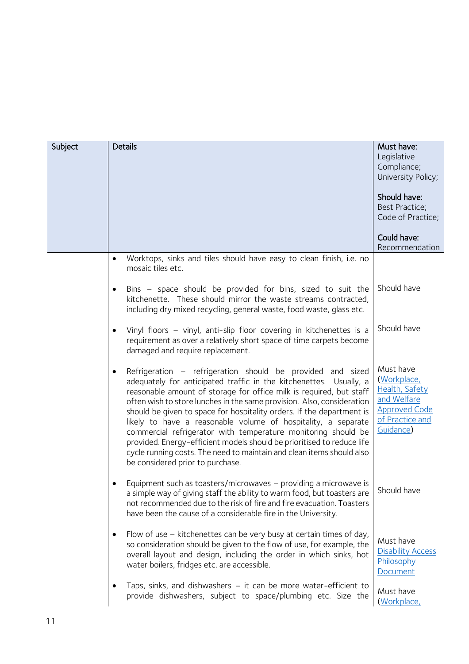<span id="page-10-5"></span><span id="page-10-4"></span><span id="page-10-3"></span><span id="page-10-2"></span><span id="page-10-1"></span><span id="page-10-0"></span>

| Subject | <b>Details</b>                                                                                                                                                                                                                                                                                                                                                                                                                                                                                                                                                                                                                                                                      | Must have:<br>Legislative<br>Compliance;<br>University Policy;<br>Should have:<br>Best Practice;<br>Code of Practice; |
|---------|-------------------------------------------------------------------------------------------------------------------------------------------------------------------------------------------------------------------------------------------------------------------------------------------------------------------------------------------------------------------------------------------------------------------------------------------------------------------------------------------------------------------------------------------------------------------------------------------------------------------------------------------------------------------------------------|-----------------------------------------------------------------------------------------------------------------------|
|         |                                                                                                                                                                                                                                                                                                                                                                                                                                                                                                                                                                                                                                                                                     | Could have:<br>Recommendation                                                                                         |
|         | Worktops, sinks and tiles should have easy to clean finish, i.e. no<br>mosaic tiles etc.                                                                                                                                                                                                                                                                                                                                                                                                                                                                                                                                                                                            |                                                                                                                       |
|         | Bins - space should be provided for bins, sized to suit the<br>kitchenette. These should mirror the waste streams contracted,<br>including dry mixed recycling, general waste, food waste, glass etc.                                                                                                                                                                                                                                                                                                                                                                                                                                                                               | Should have                                                                                                           |
|         | Vinyl floors - vinyl, anti-slip floor covering in kitchenettes is a<br>requirement as over a relatively short space of time carpets become<br>damaged and require replacement.                                                                                                                                                                                                                                                                                                                                                                                                                                                                                                      | Should have                                                                                                           |
|         | Refrigeration - refrigeration should be provided and sized<br>adequately for anticipated traffic in the kitchenettes. Usually, a<br>reasonable amount of storage for office milk is required, but staff<br>often wish to store lunches in the same provision. Also, consideration<br>should be given to space for hospitality orders. If the department is<br>likely to have a reasonable volume of hospitality, a separate<br>commercial refrigerator with temperature monitoring should be<br>provided. Energy-efficient models should be prioritised to reduce life<br>cycle running costs. The need to maintain and clean items should also<br>be considered prior to purchase. | Must have<br>(Workplace,<br>Health, Safety<br>and Welfare<br><b>Approved Code</b><br>of Practice and<br>Guidance)     |
|         | Equipment such as toasters/microwaves - providing a microwave is<br>a simple way of giving staff the ability to warm food, but toasters are<br>not recommended due to the risk of fire and fire evacuation. Toasters<br>have been the cause of a considerable fire in the University.                                                                                                                                                                                                                                                                                                                                                                                               | Should have                                                                                                           |
|         | Flow of use – kitchenettes can be very busy at certain times of day,<br>$\bullet$<br>so consideration should be given to the flow of use, for example, the<br>overall layout and design, including the order in which sinks, hot<br>water boilers, fridges etc. are accessible.                                                                                                                                                                                                                                                                                                                                                                                                     | Must have<br><b>Disability Access</b><br>Philosophy<br>Document                                                       |
|         | Taps, sinks, and dishwashers $-$ it can be more water-efficient to<br>provide dishwashers, subject to space/plumbing etc. Size the                                                                                                                                                                                                                                                                                                                                                                                                                                                                                                                                                  | Must have<br>(Workplace,                                                                                              |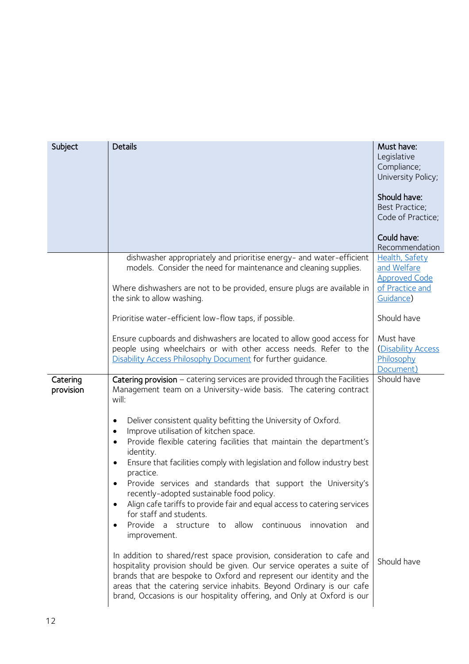<span id="page-11-1"></span><span id="page-11-0"></span>

| Subject               | <b>Details</b>                                                                                                                                                                                                                                                                                                                                                                                                                                                                                                                                                                                            | Must have:<br>Legislative<br>Compliance;<br>University Policy;<br>Should have:<br>Best Practice;<br>Code of Practice; |
|-----------------------|-----------------------------------------------------------------------------------------------------------------------------------------------------------------------------------------------------------------------------------------------------------------------------------------------------------------------------------------------------------------------------------------------------------------------------------------------------------------------------------------------------------------------------------------------------------------------------------------------------------|-----------------------------------------------------------------------------------------------------------------------|
|                       |                                                                                                                                                                                                                                                                                                                                                                                                                                                                                                                                                                                                           | Could have:<br>Recommendation                                                                                         |
|                       | dishwasher appropriately and prioritise energy- and water-efficient<br>models. Consider the need for maintenance and cleaning supplies.                                                                                                                                                                                                                                                                                                                                                                                                                                                                   | Health, Safety<br>and Welfare                                                                                         |
|                       | Where dishwashers are not to be provided, ensure plugs are available in<br>the sink to allow washing.                                                                                                                                                                                                                                                                                                                                                                                                                                                                                                     | <b>Approved Code</b><br>of Practice and<br>Guidance)                                                                  |
|                       | Prioritise water-efficient low-flow taps, if possible.                                                                                                                                                                                                                                                                                                                                                                                                                                                                                                                                                    | Should have                                                                                                           |
|                       | Ensure cupboards and dishwashers are located to allow good access for<br>people using wheelchairs or with other access needs. Refer to the<br>Disability Access Philosophy Document for further quidance.                                                                                                                                                                                                                                                                                                                                                                                                 | Must have<br>(Disability Access<br>Philosophy<br>Document)                                                            |
| Catering<br>provision | Catering provision - catering services are provided through the Facilities<br>Management team on a University-wide basis. The catering contract<br>will:                                                                                                                                                                                                                                                                                                                                                                                                                                                  | Should have                                                                                                           |
|                       | Deliver consistent quality befitting the University of Oxford.<br>٠<br>Improve utilisation of kitchen space.<br>Provide flexible catering facilities that maintain the department's<br>identity.<br>Ensure that facilities comply with legislation and follow industry best<br>$\bullet$<br>practice.<br>Provide services and standards that support the University's<br>recently-adopted sustainable food policy.<br>Align cafe tariffs to provide fair and equal access to catering services<br>for staff and students.<br>Provide a structure to allow<br>continuous<br>innovation and<br>improvement. |                                                                                                                       |
|                       | In addition to shared/rest space provision, consideration to cafe and<br>hospitality provision should be given. Our service operates a suite of<br>brands that are bespoke to Oxford and represent our identity and the<br>areas that the catering service inhabits. Beyond Ordinary is our cafe<br>brand, Occasions is our hospitality offering, and Only at Oxford is our                                                                                                                                                                                                                               | Should have                                                                                                           |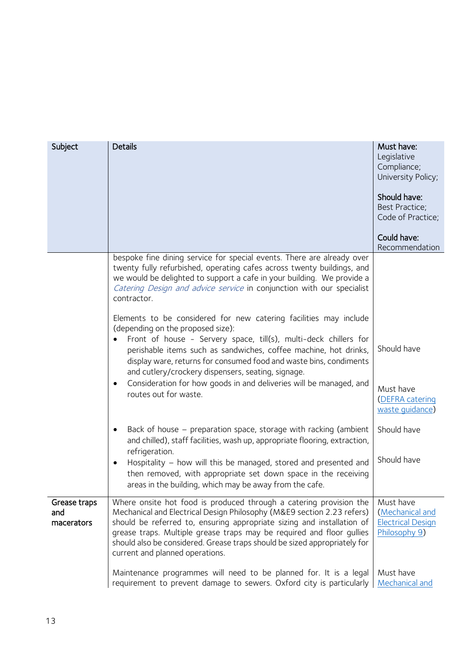<span id="page-12-0"></span>

| Subject                           | <b>Details</b>                                                                                                                                                                                                                                                                                                                                                                                                                                                | Must have:<br>Legislative<br>Compliance;<br>University Policy;            |
|-----------------------------------|---------------------------------------------------------------------------------------------------------------------------------------------------------------------------------------------------------------------------------------------------------------------------------------------------------------------------------------------------------------------------------------------------------------------------------------------------------------|---------------------------------------------------------------------------|
|                                   |                                                                                                                                                                                                                                                                                                                                                                                                                                                               | Should have:<br>Best Practice;<br>Code of Practice;                       |
|                                   |                                                                                                                                                                                                                                                                                                                                                                                                                                                               | Could have:<br>Recommendation                                             |
|                                   | bespoke fine dining service for special events. There are already over<br>twenty fully refurbished, operating cafes across twenty buildings, and<br>we would be delighted to support a cafe in your building. We provide a<br>Catering Design and advice service in conjunction with our specialist<br>contractor.                                                                                                                                            |                                                                           |
|                                   | Elements to be considered for new catering facilities may include<br>(depending on the proposed size):<br>Front of house - Servery space, till(s), multi-deck chillers for<br>perishable items such as sandwiches, coffee machine, hot drinks,<br>display ware, returns for consumed food and waste bins, condiments<br>and cutlery/crockery dispensers, seating, signage.<br>Consideration for how goods in and deliveries will be managed, and<br>$\bullet$ | Should have<br>Must have                                                  |
|                                   | routes out for waste.                                                                                                                                                                                                                                                                                                                                                                                                                                         | (DEFRA catering<br>waste quidance)                                        |
|                                   | Back of house – preparation space, storage with racking (ambient<br>and chilled), staff facilities, wash up, appropriate flooring, extraction,<br>refrigeration.                                                                                                                                                                                                                                                                                              | Should have                                                               |
|                                   | Hospitality - how will this be managed, stored and presented and<br>then removed, with appropriate set down space in the receiving<br>areas in the building, which may be away from the cafe.                                                                                                                                                                                                                                                                 | Should have                                                               |
| Grease traps<br>and<br>macerators | Where onsite hot food is produced through a catering provision the<br>Mechanical and Electrical Design Philosophy (M&E9 section 2.23 refers)<br>should be referred to, ensuring appropriate sizing and installation of<br>grease traps. Multiple grease traps may be required and floor gullies<br>should also be considered. Grease traps should be sized appropriately for<br>current and planned operations.                                               | Must have<br>(Mechanical and<br><b>Electrical Design</b><br>Philosophy 9) |
|                                   | Maintenance programmes will need to be planned for. It is a legal<br>requirement to prevent damage to sewers. Oxford city is particularly                                                                                                                                                                                                                                                                                                                     | Must have<br><b>Mechanical and</b>                                        |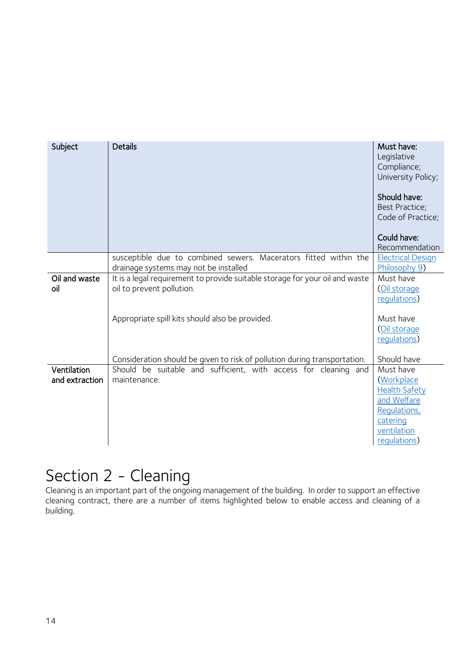<span id="page-13-0"></span>

| Subject                       | <b>Details</b>                                                                                                                                               | Must have:<br>Legislative<br>Compliance;<br>University Policy;<br>Should have:<br><b>Best Practice:</b><br>Code of Practice;<br>Could have:<br>Recommendation |
|-------------------------------|--------------------------------------------------------------------------------------------------------------------------------------------------------------|---------------------------------------------------------------------------------------------------------------------------------------------------------------|
|                               | susceptible due to combined sewers. Macerators fitted within the<br>drainage systems may not be installed                                                    | <b>Electrical Design</b><br>Philosophy 9)                                                                                                                     |
| Oil and waste<br>oil          | It is a legal requirement to provide suitable storage for your oil and waste<br>oil to prevent pollution.<br>Appropriate spill kits should also be provided. | Must have<br>(Oil storage<br>requlations)<br>Must have<br>(Oil storage                                                                                        |
|                               | Consideration should be given to risk of pollution during transportation.                                                                                    | requlations)<br>Should have                                                                                                                                   |
| Ventilation<br>and extraction | Should be suitable and sufficient, with access for cleaning and<br>maintenance.                                                                              | Must have<br>(Workplace<br><b>Health Safety</b><br>and Welfare<br>Regulations,<br>catering<br>ventilation<br>requlations)                                     |

### <span id="page-13-2"></span><span id="page-13-1"></span>Section 2 - Cleaning

Cleaning is an important part of the ongoing management of the building. In order to support an effective cleaning contract, there are a number of items highlighted below to enable access and cleaning of a building.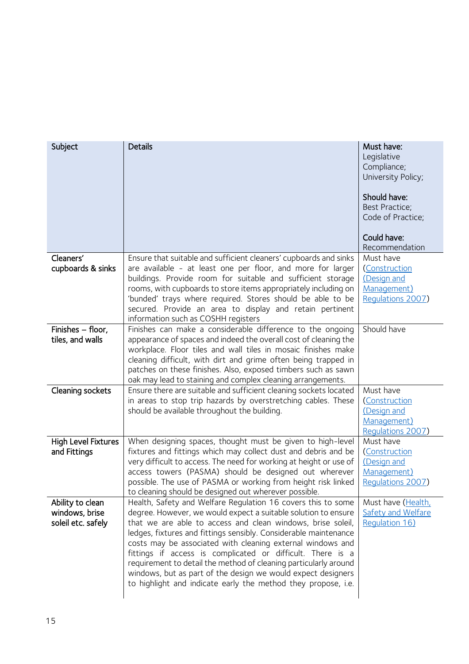<span id="page-14-4"></span><span id="page-14-3"></span><span id="page-14-2"></span><span id="page-14-1"></span><span id="page-14-0"></span>

| Subject                                                  | <b>Details</b>                                                                                                                                                                                                                                                                                                                                                                                                                                                                                                                                                                                     | Must have:<br>Legislative<br>Compliance;<br>University Policy;<br>Should have:<br>Best Practice;<br>Code of Practice;<br>Could have:<br>Recommendation |
|----------------------------------------------------------|----------------------------------------------------------------------------------------------------------------------------------------------------------------------------------------------------------------------------------------------------------------------------------------------------------------------------------------------------------------------------------------------------------------------------------------------------------------------------------------------------------------------------------------------------------------------------------------------------|--------------------------------------------------------------------------------------------------------------------------------------------------------|
| Cleaners'<br>cupboards & sinks                           | Ensure that suitable and sufficient cleaners' cupboards and sinks<br>are available - at least one per floor, and more for larger<br>buildings. Provide room for suitable and sufficient storage<br>rooms, with cupboards to store items appropriately including on<br>'bunded' trays where required. Stores should be able to be<br>secured. Provide an area to display and retain pertinent<br>information such as COSHH registers                                                                                                                                                                | Must have<br>(Construction<br>(Design and<br>Management)<br>Requlations 2007)                                                                          |
| Finishes - floor,<br>tiles, and walls                    | Finishes can make a considerable difference to the ongoing<br>appearance of spaces and indeed the overall cost of cleaning the<br>workplace. Floor tiles and wall tiles in mosaic finishes make<br>cleaning difficult, with dirt and grime often being trapped in<br>patches on these finishes. Also, exposed timbers such as sawn<br>oak may lead to staining and complex cleaning arrangements.                                                                                                                                                                                                  | Should have                                                                                                                                            |
| Cleaning sockets                                         | Ensure there are suitable and sufficient cleaning sockets located<br>in areas to stop trip hazards by overstretching cables. These<br>should be available throughout the building.                                                                                                                                                                                                                                                                                                                                                                                                                 | Must have<br>(Construction<br>(Design and<br>Management)<br>Requlations 2007)                                                                          |
| <b>High Level Fixtures</b><br>and Fittings               | When designing spaces, thought must be given to high-level<br>fixtures and fittings which may collect dust and debris and be<br>very difficult to access. The need for working at height or use of<br>access towers (PASMA) should be designed out wherever<br>possible. The use of PASMA or working from height risk linked<br>to cleaning should be designed out wherever possible.                                                                                                                                                                                                              | Must have<br>(Construction<br>(Design and<br>Management)<br>Regulations 2007)                                                                          |
| Ability to clean<br>windows, brise<br>soleil etc. safely | Health, Safety and Welfare Regulation 16 covers this to some<br>degree. However, we would expect a suitable solution to ensure<br>that we are able to access and clean windows, brise soleil,<br>ledges, fixtures and fittings sensibly. Considerable maintenance<br>costs may be associated with cleaning external windows and<br>fittings if access is complicated or difficult. There is a<br>requirement to detail the method of cleaning particularly around<br>windows, but as part of the design we would expect designers<br>to highlight and indicate early the method they propose, i.e. | Must have (Health,<br><b>Safety and Welfare</b><br>Regulation 16)                                                                                      |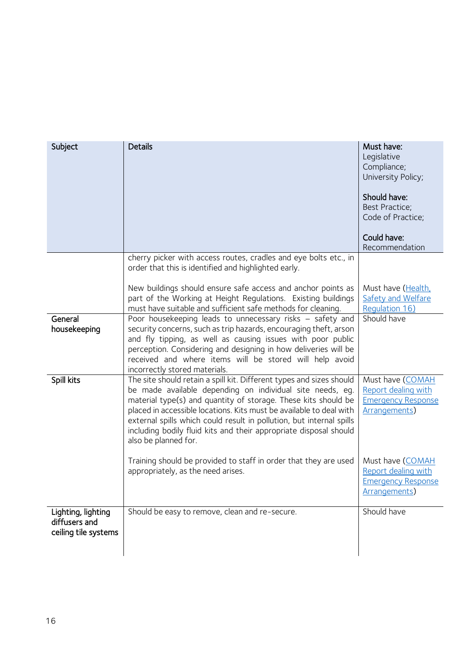<span id="page-15-2"></span><span id="page-15-1"></span><span id="page-15-0"></span>

| Subject                                                     | <b>Details</b>                                                                                                                                                                                                                                                                                                                                                                                                                                  | Must have:<br>Legislative<br>Compliance;<br>University Policy;<br>Should have:<br>Best Practice;<br>Code of Practice;<br>Could have:<br>Recommendation |
|-------------------------------------------------------------|-------------------------------------------------------------------------------------------------------------------------------------------------------------------------------------------------------------------------------------------------------------------------------------------------------------------------------------------------------------------------------------------------------------------------------------------------|--------------------------------------------------------------------------------------------------------------------------------------------------------|
|                                                             | cherry picker with access routes, cradles and eye bolts etc., in<br>order that this is identified and highlighted early.                                                                                                                                                                                                                                                                                                                        |                                                                                                                                                        |
|                                                             | New buildings should ensure safe access and anchor points as<br>part of the Working at Height Regulations. Existing buildings<br>must have suitable and sufficient safe methods for cleaning.                                                                                                                                                                                                                                                   | Must have (Health,<br>Safety and Welfare<br>Requlation 16)                                                                                             |
| General<br>housekeeping                                     | Poor housekeeping leads to unnecessary risks - safety and<br>security concerns, such as trip hazards, encouraging theft, arson<br>and fly tipping, as well as causing issues with poor public<br>perception. Considering and designing in how deliveries will be<br>received and where items will be stored will help avoid<br>incorrectly stored materials.                                                                                    | Should have                                                                                                                                            |
| Spill kits                                                  | The site should retain a spill kit. Different types and sizes should<br>be made available depending on individual site needs, eq.<br>material type(s) and quantity of storage. These kits should be<br>placed in accessible locations. Kits must be available to deal with<br>external spills which could result in pollution, but internal spills<br>including bodily fluid kits and their appropriate disposal should<br>also be planned for. | Must have (COMAH<br>Report dealing with<br><b>Emergency Response</b><br><b>Arrangements</b> )                                                          |
|                                                             | Training should be provided to staff in order that they are used<br>appropriately, as the need arises.                                                                                                                                                                                                                                                                                                                                          | Must have (COMAH<br>Report dealing with<br><b>Emergency Response</b><br>Arrangements)                                                                  |
| Lighting, lighting<br>diffusers and<br>ceiling tile systems | Should be easy to remove, clean and re-secure.                                                                                                                                                                                                                                                                                                                                                                                                  | Should have                                                                                                                                            |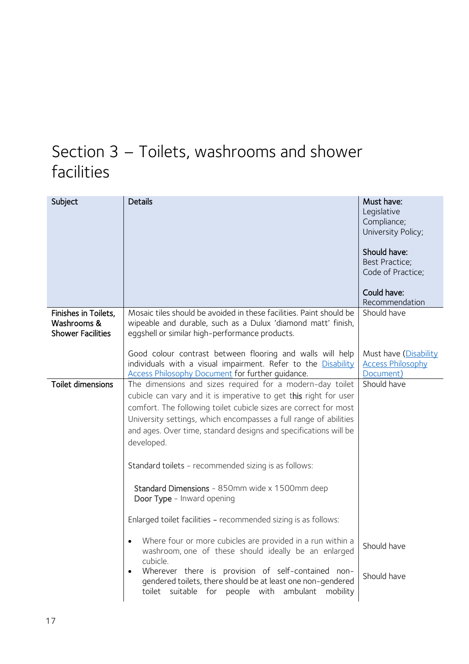### <span id="page-16-0"></span>Section 3 – Toilets, washrooms and shower facilities

<span id="page-16-4"></span><span id="page-16-3"></span><span id="page-16-2"></span><span id="page-16-1"></span>

| Subject                                                         | <b>Details</b>                                                                                                                                                                                                                                                                                                                                          | Must have:<br>Legislative<br>Compliance;<br>University Policy;<br>Should have:<br><b>Best Practice;</b><br>Code of Practice;<br>Could have:<br>Recommendation |
|-----------------------------------------------------------------|---------------------------------------------------------------------------------------------------------------------------------------------------------------------------------------------------------------------------------------------------------------------------------------------------------------------------------------------------------|---------------------------------------------------------------------------------------------------------------------------------------------------------------|
| Finishes in Toilets,<br>Washrooms &<br><b>Shower Facilities</b> | Mosaic tiles should be avoided in these facilities. Paint should be<br>wipeable and durable, such as a Dulux 'diamond matt' finish,                                                                                                                                                                                                                     | Should have                                                                                                                                                   |
|                                                                 | eggshell or similar high-performance products.                                                                                                                                                                                                                                                                                                          |                                                                                                                                                               |
|                                                                 | Good colour contrast between flooring and walls will help<br>individuals with a visual impairment. Refer to the Disability<br><b>Access Philosophy Document for further guidance.</b>                                                                                                                                                                   | Must have (Disability<br><b>Access Philosophy</b><br>Document)                                                                                                |
| <b>Toilet dimensions</b>                                        | The dimensions and sizes required for a modern-day toilet<br>cubicle can vary and it is imperative to get this right for user<br>comfort. The following toilet cubicle sizes are correct for most<br>University settings, which encompasses a full range of abilities<br>and ages. Over time, standard designs and specifications will be<br>developed. | Should have                                                                                                                                                   |
|                                                                 | Standard toilets - recommended sizing is as follows:                                                                                                                                                                                                                                                                                                    |                                                                                                                                                               |
|                                                                 | Standard Dimensions - 850mm wide x 1500mm deep<br>Door Type - Inward opening                                                                                                                                                                                                                                                                            |                                                                                                                                                               |
|                                                                 | Enlarged toilet facilities - recommended sizing is as follows:                                                                                                                                                                                                                                                                                          |                                                                                                                                                               |
|                                                                 | Where four or more cubicles are provided in a run within a<br>$\bullet$<br>washroom, one of these should ideally be an enlarged<br>cubicle.<br>Wherever there is provision of self-contained non-<br>$\bullet$<br>gendered toilets, there should be at least one non-gendered                                                                           | Should have<br>Should have                                                                                                                                    |
|                                                                 | toilet suitable for people with ambulant<br>mobility                                                                                                                                                                                                                                                                                                    |                                                                                                                                                               |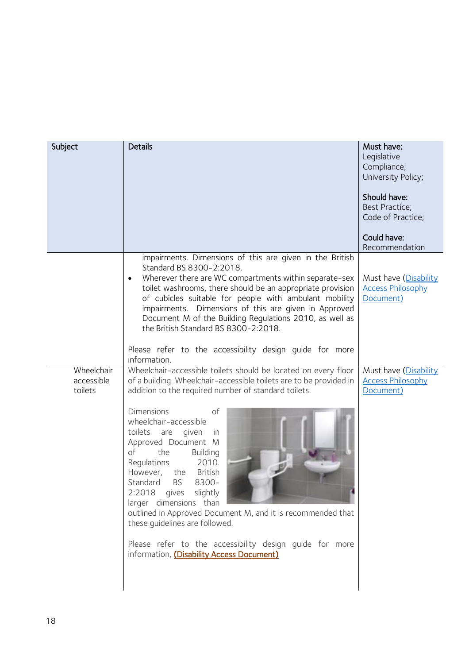<span id="page-17-0"></span>

| Subject                             | <b>Details</b>                                                                                                                                                                                                                                                                                                                                                                                                                                                                                                                                                                                                                                                                  | Must have:<br>Legislative<br>Compliance;<br>University Policy;<br>Should have:<br>Best Practice;<br>Code of Practice;<br>Could have:<br>Recommendation |
|-------------------------------------|---------------------------------------------------------------------------------------------------------------------------------------------------------------------------------------------------------------------------------------------------------------------------------------------------------------------------------------------------------------------------------------------------------------------------------------------------------------------------------------------------------------------------------------------------------------------------------------------------------------------------------------------------------------------------------|--------------------------------------------------------------------------------------------------------------------------------------------------------|
|                                     | impairments. Dimensions of this are given in the British<br>Standard BS 8300-2:2018.<br>Wherever there are WC compartments within separate-sex<br>toilet washrooms, there should be an appropriate provision<br>of cubicles suitable for people with ambulant mobility<br>impairments. Dimensions of this are given in Approved<br>Document M of the Building Regulations 2010, as well as<br>the British Standard BS 8300-2:2018.<br>Please refer to the accessibility design guide for more<br>information.                                                                                                                                                                   | Must have (Disability<br><b>Access Philosophy</b><br>Document)                                                                                         |
| Wheelchair<br>accessible<br>toilets | Wheelchair-accessible toilets should be located on every floor<br>of a building. Wheelchair-accessible toilets are to be provided in<br>addition to the required number of standard toilets.<br><b>Dimensions</b><br>of<br>wheelchair-accessible<br>toilets are<br>given<br>in<br>Approved Document M<br>of<br>the<br>Building<br>2010.<br>Regulations<br>the British<br>However,<br>Standard<br><b>BS</b><br>8300-<br>2:2018 gives slightly<br>larger dimensions than<br>outlined in Approved Document M, and it is recommended that<br>these guidelines are followed.<br>Please refer to the accessibility design guide for more<br>information, (Disability Access Document) | Must have (Disability<br><b>Access Philosophy</b><br>Document)                                                                                         |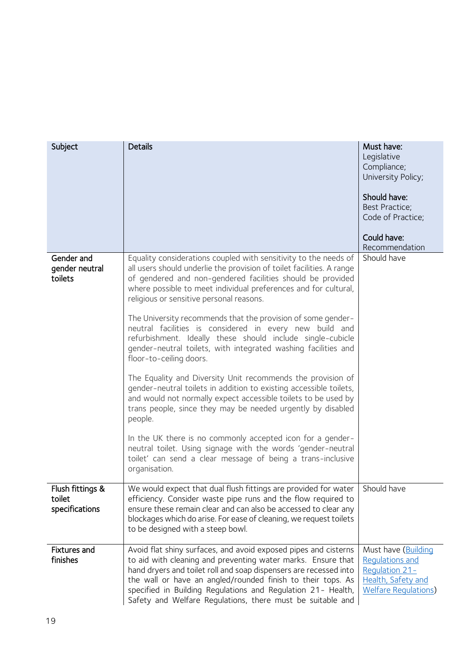<span id="page-18-2"></span><span id="page-18-1"></span><span id="page-18-0"></span>

| Subject                                      | <b>Details</b>                                                                                                                                                                                                                                                                                                                                                                                                                                                                                                                                                                                                                                                                                                                                                                                                                                                                                                                                                                                                                                                                                              | Must have:<br>Legislative<br>Compliance;<br>University Policy;<br>Should have:<br><b>Best Practice;</b><br>Code of Practice;<br>Could have:<br>Recommendation |
|----------------------------------------------|-------------------------------------------------------------------------------------------------------------------------------------------------------------------------------------------------------------------------------------------------------------------------------------------------------------------------------------------------------------------------------------------------------------------------------------------------------------------------------------------------------------------------------------------------------------------------------------------------------------------------------------------------------------------------------------------------------------------------------------------------------------------------------------------------------------------------------------------------------------------------------------------------------------------------------------------------------------------------------------------------------------------------------------------------------------------------------------------------------------|---------------------------------------------------------------------------------------------------------------------------------------------------------------|
| Gender and<br>gender neutral<br>toilets      | Equality considerations coupled with sensitivity to the needs of<br>all users should underlie the provision of toilet facilities. A range<br>of gendered and non-gendered facilities should be provided<br>where possible to meet individual preferences and for cultural,<br>religious or sensitive personal reasons.<br>The University recommends that the provision of some gender-<br>neutral facilities is considered in every new build and<br>refurbishment. Ideally these should include single-cubicle<br>gender-neutral toilets, with integrated washing facilities and<br>floor-to-ceiling doors.<br>The Equality and Diversity Unit recommends the provision of<br>gender-neutral toilets in addition to existing accessible toilets,<br>and would not normally expect accessible toilets to be used by<br>trans people, since they may be needed urgently by disabled<br>people.<br>In the UK there is no commonly accepted icon for a gender-<br>neutral toilet. Using signage with the words 'gender-neutral<br>toilet' can send a clear message of being a trans-inclusive<br>organisation. | Should have                                                                                                                                                   |
| Flush fittings &<br>toilet<br>specifications | We would expect that dual flush fittings are provided for water<br>efficiency. Consider waste pipe runs and the flow required to<br>ensure these remain clear and can also be accessed to clear any<br>blockages which do arise. For ease of cleaning, we request toilets<br>to be designed with a steep bowl.                                                                                                                                                                                                                                                                                                                                                                                                                                                                                                                                                                                                                                                                                                                                                                                              | Should have                                                                                                                                                   |
| <b>Fixtures and</b><br>finishes              | Avoid flat shiny surfaces, and avoid exposed pipes and cisterns<br>to aid with cleaning and preventing water marks. Ensure that<br>hand dryers and toilet roll and soap dispensers are recessed into<br>the wall or have an angled/rounded finish to their tops. As<br>specified in Building Regulations and Regulation 21- Health,<br>Safety and Welfare Regulations, there must be suitable and                                                                                                                                                                                                                                                                                                                                                                                                                                                                                                                                                                                                                                                                                                           | Must have (Building<br><b>Requlations and</b><br>Regulation 21-<br>Health, Safety and<br><b>Welfare Requlations</b> )                                         |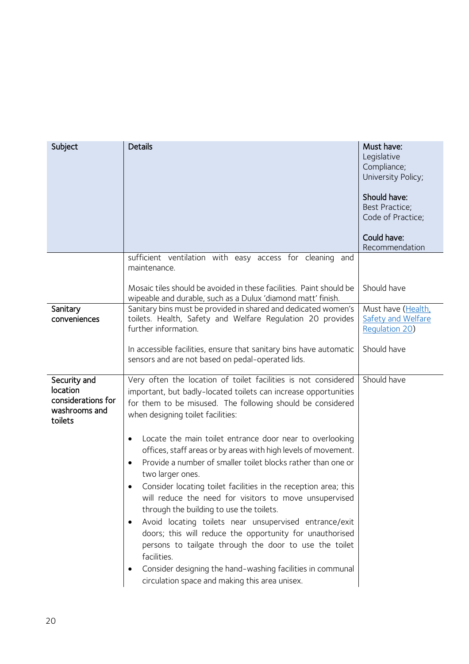<span id="page-19-1"></span><span id="page-19-0"></span>

| Subject                                                                    | <b>Details</b>                                                                                                                                                                                                                                                                                                                                                                                                                                                                                                                                                                                                                                                                                                                                             | Must have:<br>Legislative<br>Compliance;<br>University Policy;<br>Should have:<br>Best Practice;<br>Code of Practice;<br>Could have:<br>Recommendation |
|----------------------------------------------------------------------------|------------------------------------------------------------------------------------------------------------------------------------------------------------------------------------------------------------------------------------------------------------------------------------------------------------------------------------------------------------------------------------------------------------------------------------------------------------------------------------------------------------------------------------------------------------------------------------------------------------------------------------------------------------------------------------------------------------------------------------------------------------|--------------------------------------------------------------------------------------------------------------------------------------------------------|
|                                                                            | sufficient ventilation with easy access for cleaning and<br>maintenance.                                                                                                                                                                                                                                                                                                                                                                                                                                                                                                                                                                                                                                                                                   |                                                                                                                                                        |
|                                                                            | Mosaic tiles should be avoided in these facilities. Paint should be<br>wipeable and durable, such as a Dulux 'diamond matt' finish.                                                                                                                                                                                                                                                                                                                                                                                                                                                                                                                                                                                                                        | Should have                                                                                                                                            |
| Sanitary<br>conveniences                                                   | Sanitary bins must be provided in shared and dedicated women's<br>toilets. Health, Safety and Welfare Regulation 20 provides<br>further information.                                                                                                                                                                                                                                                                                                                                                                                                                                                                                                                                                                                                       | Must have (Health,<br><b>Safety and Welfare</b><br><b>Requlation 20)</b>                                                                               |
|                                                                            | In accessible facilities, ensure that sanitary bins have automatic<br>sensors and are not based on pedal-operated lids.                                                                                                                                                                                                                                                                                                                                                                                                                                                                                                                                                                                                                                    | Should have                                                                                                                                            |
| Security and<br>location<br>considerations for<br>washrooms and<br>toilets | Very often the location of toilet facilities is not considered<br>important, but badly-located toilets can increase opportunities<br>for them to be misused. The following should be considered<br>when designing toilet facilities:                                                                                                                                                                                                                                                                                                                                                                                                                                                                                                                       | Should have                                                                                                                                            |
|                                                                            | Locate the main toilet entrance door near to overlooking<br>$\bullet$<br>offices, staff areas or by areas with high levels of movement.<br>Provide a number of smaller toilet blocks rather than one or<br>$\bullet$<br>two larger ones.<br>Consider locating toilet facilities in the reception area; this<br>will reduce the need for visitors to move unsupervised<br>through the building to use the toilets.<br>Avoid locating toilets near unsupervised entrance/exit<br>$\bullet$<br>doors; this will reduce the opportunity for unauthorised<br>persons to tailgate through the door to use the toilet<br>facilities.<br>Consider designing the hand-washing facilities in communal<br>$\bullet$<br>circulation space and making this area unisex. |                                                                                                                                                        |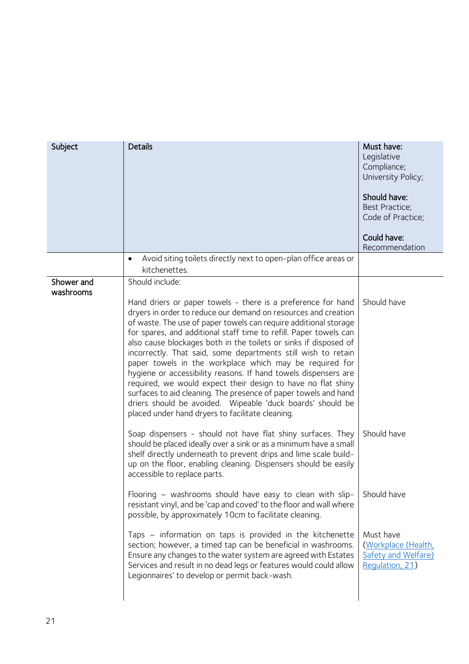<span id="page-20-4"></span><span id="page-20-3"></span><span id="page-20-2"></span><span id="page-20-1"></span><span id="page-20-0"></span>

| Subject                 | <b>Details</b>                                                                                                                                                                                                                                                                                                                                                                                                                                                                                                                                                                                                                                                                                                                                                                                                                                                                                                                                                                                                                                                                                                                                                                                                                                                                                                                                                                                                                                                                 | Must have:<br>Legislative<br>Compliance;<br>University Policy;<br>Should have:<br>Best Practice;<br>Code of Practice;<br>Could have:<br>Recommendation |
|-------------------------|--------------------------------------------------------------------------------------------------------------------------------------------------------------------------------------------------------------------------------------------------------------------------------------------------------------------------------------------------------------------------------------------------------------------------------------------------------------------------------------------------------------------------------------------------------------------------------------------------------------------------------------------------------------------------------------------------------------------------------------------------------------------------------------------------------------------------------------------------------------------------------------------------------------------------------------------------------------------------------------------------------------------------------------------------------------------------------------------------------------------------------------------------------------------------------------------------------------------------------------------------------------------------------------------------------------------------------------------------------------------------------------------------------------------------------------------------------------------------------|--------------------------------------------------------------------------------------------------------------------------------------------------------|
|                         | Avoid siting toilets directly next to open-plan office areas or<br>$\bullet$<br>kitchenettes.                                                                                                                                                                                                                                                                                                                                                                                                                                                                                                                                                                                                                                                                                                                                                                                                                                                                                                                                                                                                                                                                                                                                                                                                                                                                                                                                                                                  |                                                                                                                                                        |
| Shower and<br>washrooms | Should include:<br>Hand driers or paper towels - there is a preference for hand<br>dryers in order to reduce our demand on resources and creation<br>of waste. The use of paper towels can require additional storage<br>for spares, and additional staff time to refill. Paper towels can<br>also cause blockages both in the toilets or sinks if disposed of<br>incorrectly. That said, some departments still wish to retain<br>paper towels in the workplace which may be required for<br>hygiene or accessibility reasons. If hand towels dispensers are<br>required, we would expect their design to have no flat shiny<br>surfaces to aid cleaning. The presence of paper towels and hand<br>driers should be avoided. Wipeable 'duck boards' should be<br>placed under hand dryers to facilitate cleaning.<br>Soap dispensers - should not have flat shiny surfaces. They<br>should be placed ideally over a sink or as a minimum have a small<br>shelf directly underneath to prevent drips and lime scale build-<br>up on the floor, enabling cleaning. Dispensers should be easily<br>accessible to replace parts.<br>Flooring – washrooms should have easy to clean with slip- $\vert$ Should have<br>resistant vinyl, and be 'cap and coved' to the floor and wall where<br>possible, by approximately 10cm to facilitate cleaning.<br>Taps - information on taps is provided in the kitchenette<br>section; however, a timed tap can be beneficial in washrooms. | Should have<br>Should have<br>Must have<br>(Workplace (Health,                                                                                         |
|                         | Ensure any changes to the water system are agreed with Estates<br>Services and result in no dead legs or features would could allow<br>Legionnaires' to develop or permit back-wash.                                                                                                                                                                                                                                                                                                                                                                                                                                                                                                                                                                                                                                                                                                                                                                                                                                                                                                                                                                                                                                                                                                                                                                                                                                                                                           | Safety and Welfare)<br>Regulation, 21)                                                                                                                 |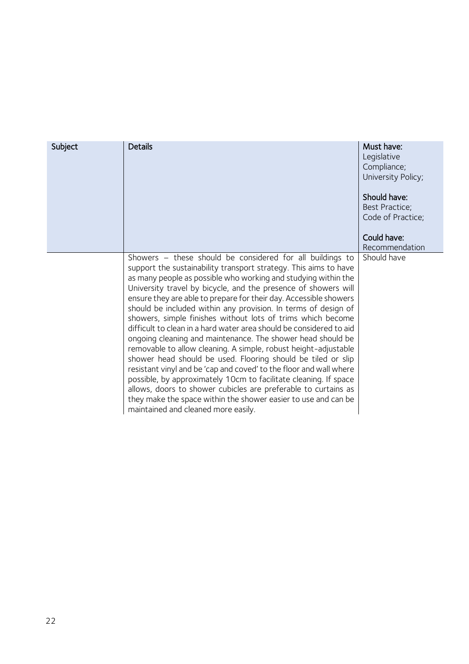<span id="page-21-0"></span>

| Subject | <b>Details</b>                                                                                                                                                                                                                                                                                                                                                                                                                                                                                                                                                                                                                                                                                                                                                                                                                                                                                                                                                                                                                                                        | Must have:<br>Legislative<br>Compliance;<br>University Policy;<br>Should have:<br>Best Practice;<br>Code of Practice;<br>Could have:<br>Recommendation |
|---------|-----------------------------------------------------------------------------------------------------------------------------------------------------------------------------------------------------------------------------------------------------------------------------------------------------------------------------------------------------------------------------------------------------------------------------------------------------------------------------------------------------------------------------------------------------------------------------------------------------------------------------------------------------------------------------------------------------------------------------------------------------------------------------------------------------------------------------------------------------------------------------------------------------------------------------------------------------------------------------------------------------------------------------------------------------------------------|--------------------------------------------------------------------------------------------------------------------------------------------------------|
|         | Showers - these should be considered for all buildings to<br>support the sustainability transport strategy. This aims to have<br>as many people as possible who working and studying within the<br>University travel by bicycle, and the presence of showers will<br>ensure they are able to prepare for their day. Accessible showers<br>should be included within any provision. In terms of design of<br>showers, simple finishes without lots of trims which become<br>difficult to clean in a hard water area should be considered to aid<br>ongoing cleaning and maintenance. The shower head should be<br>removable to allow cleaning. A simple, robust height-adjustable<br>shower head should be used. Flooring should be tiled or slip<br>resistant vinyl and be 'cap and coved' to the floor and wall where<br>possible, by approximately 10cm to facilitate cleaning. If space<br>allows, doors to shower cubicles are preferable to curtains as<br>they make the space within the shower easier to use and can be<br>maintained and cleaned more easily. | Should have                                                                                                                                            |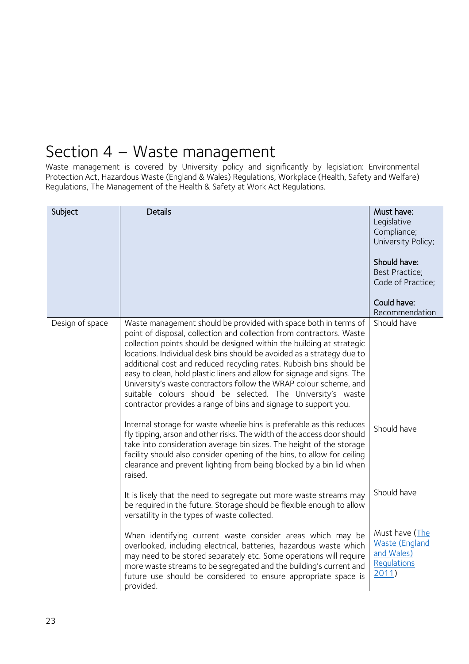### <span id="page-22-0"></span>Section 4 – Waste management

Waste management is covered by University policy and significantly by legislation: Environmental Protection Act, Hazardous Waste (England & Wales) Regulations, Workplace (Health, Safety and Welfare) Regulations, The Management of the Health & Safety at Work Act Regulations.

<span id="page-22-1"></span>

| Subject         | <b>Details</b>                                                                                                                                                                                                                                                                                                                                                                                                                                                                                                                                                                                                                                      | Must have:<br>Legislative<br>Compliance;<br>University Policy;<br>Should have:<br>Best Practice;<br>Code of Practice;<br>Could have:<br>Recommendation |
|-----------------|-----------------------------------------------------------------------------------------------------------------------------------------------------------------------------------------------------------------------------------------------------------------------------------------------------------------------------------------------------------------------------------------------------------------------------------------------------------------------------------------------------------------------------------------------------------------------------------------------------------------------------------------------------|--------------------------------------------------------------------------------------------------------------------------------------------------------|
| Design of space | Waste management should be provided with space both in terms of<br>point of disposal, collection and collection from contractors. Waste<br>collection points should be designed within the building at strategic<br>locations. Individual desk bins should be avoided as a strategy due to<br>additional cost and reduced recycling rates. Rubbish bins should be<br>easy to clean, hold plastic liners and allow for signage and signs. The<br>University's waste contractors follow the WRAP colour scheme, and<br>suitable colours should be selected. The University's waste<br>contractor provides a range of bins and signage to support you. | Should have                                                                                                                                            |
|                 | Internal storage for waste wheelie bins is preferable as this reduces<br>fly tipping, arson and other risks. The width of the access door should<br>take into consideration average bin sizes. The height of the storage<br>facility should also consider opening of the bins, to allow for ceiling<br>clearance and prevent lighting from being blocked by a bin lid when<br>raised.                                                                                                                                                                                                                                                               | Should have                                                                                                                                            |
|                 | It is likely that the need to segregate out more waste streams may<br>be required in the future. Storage should be flexible enough to allow<br>versatility in the types of waste collected.                                                                                                                                                                                                                                                                                                                                                                                                                                                         | Should have                                                                                                                                            |
|                 | When identifying current waste consider areas which may be<br>overlooked, including electrical, batteries, hazardous waste which<br>may need to be stored separately etc. Some operations will require<br>more waste streams to be segregated and the building's current and<br>future use should be considered to ensure appropriate space is<br>provided.                                                                                                                                                                                                                                                                                         | Must have (The<br><b>Waste (England</b><br>and Wales)<br>Requlations<br>2011)                                                                          |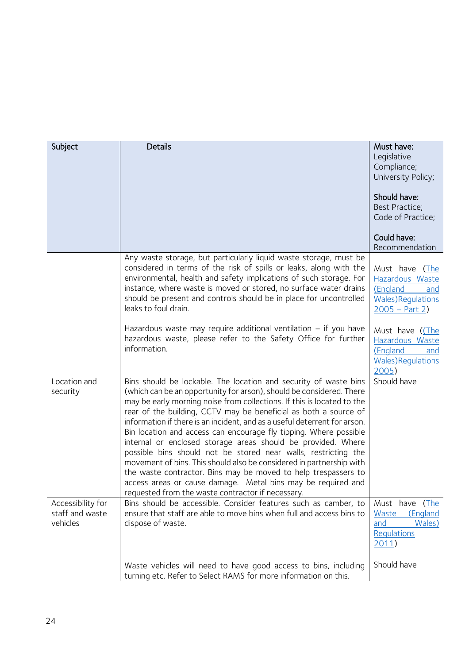<span id="page-23-2"></span><span id="page-23-1"></span><span id="page-23-0"></span>

| Subject                                          | <b>Details</b>                                                                                                                                                                                                                                                                                                                                                                                                                                                                                                                                                                                                                                                                                                                                                                                                                            | Must have:<br>Legislative<br>Compliance;<br>University Policy;<br>Should have:<br><b>Best Practice;</b><br>Code of Practice;<br>Could have:<br>Recommendation |
|--------------------------------------------------|-------------------------------------------------------------------------------------------------------------------------------------------------------------------------------------------------------------------------------------------------------------------------------------------------------------------------------------------------------------------------------------------------------------------------------------------------------------------------------------------------------------------------------------------------------------------------------------------------------------------------------------------------------------------------------------------------------------------------------------------------------------------------------------------------------------------------------------------|---------------------------------------------------------------------------------------------------------------------------------------------------------------|
|                                                  | Any waste storage, but particularly liquid waste storage, must be<br>considered in terms of the risk of spills or leaks, along with the<br>environmental, health and safety implications of such storage. For<br>instance, where waste is moved or stored, no surface water drains<br>should be present and controls should be in place for uncontrolled<br>leaks to foul drain.                                                                                                                                                                                                                                                                                                                                                                                                                                                          | Must have (The<br>Hazardous Waste<br>(England<br>and<br><b>Wales)Requlations</b><br>$2005 - Part 2)$                                                          |
|                                                  | Hazardous waste may require additional ventilation $-$ if you have<br>hazardous waste, please refer to the Safety Office for further<br>information.                                                                                                                                                                                                                                                                                                                                                                                                                                                                                                                                                                                                                                                                                      | Must have (The<br>Hazardous Waste<br>(England<br>and<br><b>Wales)Requlations</b><br>2005)                                                                     |
| Location and<br>security                         | Bins should be lockable. The location and security of waste bins<br>(which can be an opportunity for arson), should be considered. There<br>may be early morning noise from collections. If this is located to the<br>rear of the building, CCTV may be beneficial as both a source of<br>information if there is an incident, and as a useful deterrent for arson.<br>Bin location and access can encourage fly tipping. Where possible<br>internal or enclosed storage areas should be provided. Where<br>possible bins should not be stored near walls, restricting the<br>movement of bins. This should also be considered in partnership with<br>the waste contractor. Bins may be moved to help trespassers to<br>access areas or cause damage. Metal bins may be required and<br>requested from the waste contractor if necessary. | Should have                                                                                                                                                   |
| Accessibility for<br>staff and waste<br>vehicles | Bins should be accessible. Consider features such as camber, to<br>ensure that staff are able to move bins when full and access bins to<br>dispose of waste.                                                                                                                                                                                                                                                                                                                                                                                                                                                                                                                                                                                                                                                                              | Must have (The<br>Waste<br>(England<br>and<br>Wales)<br>Regulations<br>2011)                                                                                  |
|                                                  | Waste vehicles will need to have good access to bins, including<br>turning etc. Refer to Select RAMS for more information on this.                                                                                                                                                                                                                                                                                                                                                                                                                                                                                                                                                                                                                                                                                                        | Should have                                                                                                                                                   |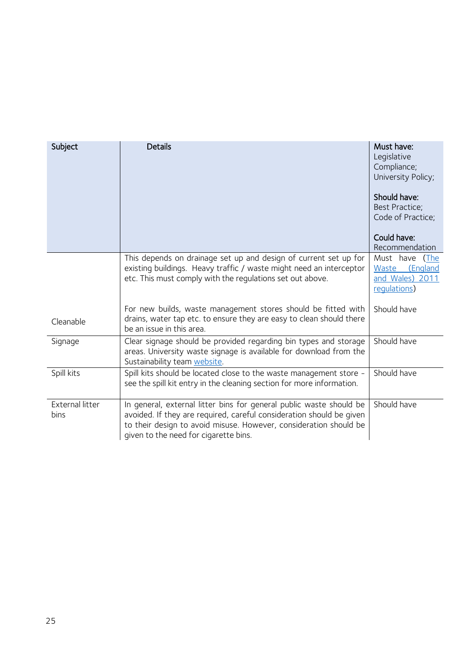<span id="page-24-3"></span><span id="page-24-2"></span><span id="page-24-1"></span><span id="page-24-0"></span>

| Subject                 | <b>Details</b>                                                                                                                                                                                                                                            | Must have:<br>Legislative<br>Compliance;<br>University Policy;<br>Should have:<br>Best Practice;<br>Code of Practice;<br>Could have:<br>Recommendation |
|-------------------------|-----------------------------------------------------------------------------------------------------------------------------------------------------------------------------------------------------------------------------------------------------------|--------------------------------------------------------------------------------------------------------------------------------------------------------|
|                         | This depends on drainage set up and design of current set up for<br>existing buildings. Heavy traffic / waste might need an interceptor<br>etc. This must comply with the regulations set out above.                                                      | Must have<br>(The<br>Waste<br>(England<br>and Wales) 2011<br>requlations)                                                                              |
| Cleanable               | For new builds, waste management stores should be fitted with<br>drains, water tap etc. to ensure they are easy to clean should there<br>be an issue in this area.                                                                                        | Should have                                                                                                                                            |
| Signage                 | Clear signage should be provided regarding bin types and storage<br>areas. University waste signage is available for download from the<br>Sustainability team website.                                                                                    | Should have                                                                                                                                            |
| Spill kits              | Spill kits should be located close to the waste management store -<br>see the spill kit entry in the cleaning section for more information.                                                                                                               | Should have                                                                                                                                            |
| External litter<br>bins | In general, external litter bins for general public waste should be<br>avoided. If they are required, careful consideration should be given<br>to their design to avoid misuse. However, consideration should be<br>given to the need for cigarette bins. | Should have                                                                                                                                            |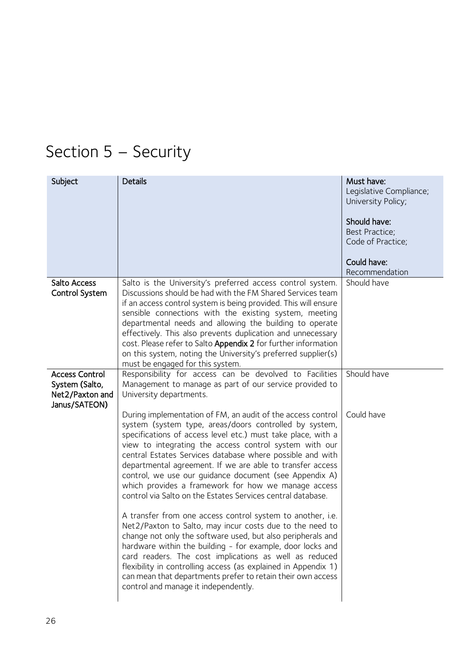# <span id="page-25-0"></span>Section 5 – Security

<span id="page-25-2"></span><span id="page-25-1"></span>

| Subject                                                                     | <b>Details</b>                                                                                                                                                                                                                                                                                                                                                                                                                                                                                                                                                                                                                                                                                                                                                                                                                                                                                                                                                                                                                                      | Must have:<br>Legislative Compliance;<br>University Policy;<br>Should have:<br><b>Best Practice:</b><br>Code of Practice;<br>Could have:<br>Recommendation |
|-----------------------------------------------------------------------------|-----------------------------------------------------------------------------------------------------------------------------------------------------------------------------------------------------------------------------------------------------------------------------------------------------------------------------------------------------------------------------------------------------------------------------------------------------------------------------------------------------------------------------------------------------------------------------------------------------------------------------------------------------------------------------------------------------------------------------------------------------------------------------------------------------------------------------------------------------------------------------------------------------------------------------------------------------------------------------------------------------------------------------------------------------|------------------------------------------------------------------------------------------------------------------------------------------------------------|
| Salto Access<br>Control System                                              | Salto is the University's preferred access control system.<br>Discussions should be had with the FM Shared Services team<br>if an access control system is being provided. This will ensure<br>sensible connections with the existing system, meeting<br>departmental needs and allowing the building to operate<br>effectively. This also prevents duplication and unnecessary<br>cost. Please refer to Salto Appendix 2 for further information<br>on this system, noting the University's preferred supplier(s)<br>must be engaged for this system.                                                                                                                                                                                                                                                                                                                                                                                                                                                                                              | Should have                                                                                                                                                |
| <b>Access Control</b><br>System (Salto,<br>Net2/Paxton and<br>Janus/SATEON) | Responsibility for access can be devolved to Facilities<br>Management to manage as part of our service provided to<br>University departments.                                                                                                                                                                                                                                                                                                                                                                                                                                                                                                                                                                                                                                                                                                                                                                                                                                                                                                       | Should have                                                                                                                                                |
|                                                                             | During implementation of FM, an audit of the access control<br>system (system type, areas/doors controlled by system,<br>specifications of access level etc.) must take place, with a<br>view to integrating the access control system with our<br>central Estates Services database where possible and with<br>departmental agreement. If we are able to transfer access<br>control, we use our guidance document (see Appendix A)<br>which provides a framework for how we manage access<br>control via Salto on the Estates Services central database.<br>A transfer from one access control system to another, i.e.<br>Net2/Paxton to Salto, may incur costs due to the need to<br>change not only the software used, but also peripherals and<br>hardware within the building - for example, door locks and<br>card readers. The cost implications as well as reduced<br>flexibility in controlling access (as explained in Appendix 1)<br>can mean that departments prefer to retain their own access<br>control and manage it independently. | Could have                                                                                                                                                 |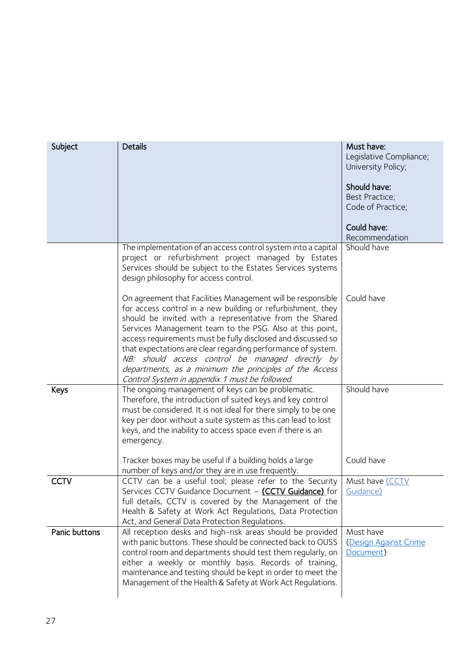<span id="page-26-2"></span><span id="page-26-1"></span><span id="page-26-0"></span>

| Subject       | <b>Details</b>                                                                                                                                                                                                                                                                                                                                                                                                                                                                                                                                    | Must have:<br>Legislative Compliance;<br>University Policy;<br>Should have:<br>Best Practice;<br>Code of Practice;<br>Could have:<br>Recommendation |
|---------------|---------------------------------------------------------------------------------------------------------------------------------------------------------------------------------------------------------------------------------------------------------------------------------------------------------------------------------------------------------------------------------------------------------------------------------------------------------------------------------------------------------------------------------------------------|-----------------------------------------------------------------------------------------------------------------------------------------------------|
|               | The implementation of an access control system into a capital<br>project or refurbishment project managed by Estates<br>Services should be subject to the Estates Services systems<br>design philosophy for access control.                                                                                                                                                                                                                                                                                                                       | Should have                                                                                                                                         |
|               | On agreement that Facilities Management will be responsible<br>for access control in a new building or refurbishment, they<br>should be invited with a representative from the Shared<br>Services Management team to the PSG. Also at this point,<br>access requirements must be fully disclosed and discussed so<br>that expectations are clear regarding performance of system.<br>NB: should access control be managed directly by<br>departments, as a minimum the principles of the Access<br>Control System in appendix 1 must be followed. | Could have                                                                                                                                          |
| Keys          | The ongoing management of keys can be problematic.<br>Therefore, the introduction of suited keys and key control<br>must be considered. It is not ideal for there simply to be one<br>key per door without a suite system as this can lead to lost<br>keys, and the inability to access space even if there is an<br>emergency.                                                                                                                                                                                                                   | Should have                                                                                                                                         |
|               | Tracker boxes may be useful if a building holds a large<br>number of keys and/or they are in use frequently.                                                                                                                                                                                                                                                                                                                                                                                                                                      | Could have                                                                                                                                          |
| <b>CCTV</b>   | CCTV can be a useful tool; please refer to the Security<br>Services CCTV Guidance Document - (CCTV Guidance) for Guidance)<br>full details. CCTV is covered by the Management of the<br>Health & Safety at Work Act Regulations, Data Protection<br>Act, and General Data Protection Regulations.                                                                                                                                                                                                                                                 | Must have (CCTV                                                                                                                                     |
| Panic buttons | All reception desks and high-risk areas should be provided<br>with panic buttons. These should be connected back to OUSS<br>control room and departments should test them regularly, on<br>either a weekly or monthly basis. Records of training,<br>maintenance and testing should be kept in order to meet the<br>Management of the Health & Safety at Work Act Regulations.                                                                                                                                                                    | Must have<br>Design Against Crime<br>Document)                                                                                                      |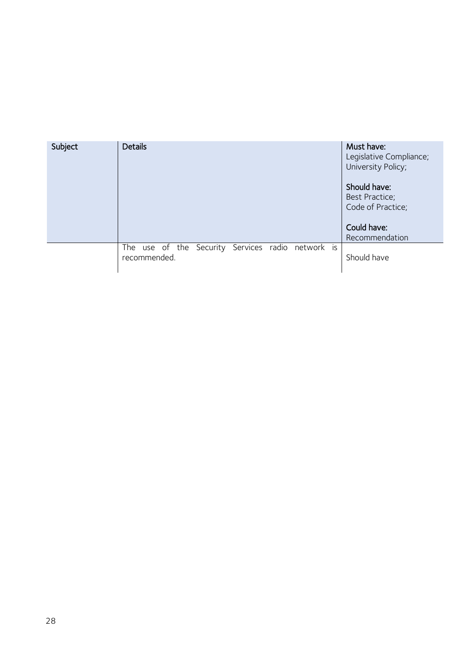| Subject | <b>Details</b>                                                    | Must have:<br>Legislative Compliance;<br>University Policy;                          |
|---------|-------------------------------------------------------------------|--------------------------------------------------------------------------------------|
|         |                                                                   | Should have:<br>Best Practice;<br>Code of Practice;<br>Could have:<br>Recommendation |
|         | The use of the Security Services radio network is<br>recommended. | Should have                                                                          |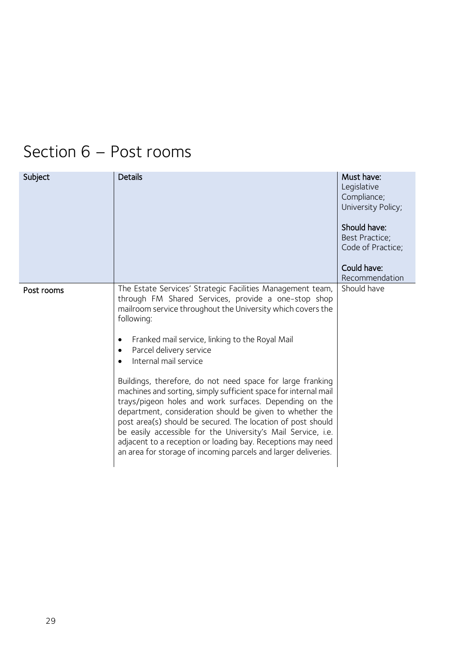## <span id="page-28-0"></span>Section 6 – Post rooms

<span id="page-28-1"></span>

| Subject    | <b>Details</b>                                                                                                                                                                                                                                                                                                                                                                                                                                                                                                                                                                                                                                                                                                                                                                                                                    | Must have:<br>Legislative<br>Compliance;<br>University Policy;<br>Should have:<br>Best Practice;<br>Code of Practice;<br>Could have:<br>Recommendation |
|------------|-----------------------------------------------------------------------------------------------------------------------------------------------------------------------------------------------------------------------------------------------------------------------------------------------------------------------------------------------------------------------------------------------------------------------------------------------------------------------------------------------------------------------------------------------------------------------------------------------------------------------------------------------------------------------------------------------------------------------------------------------------------------------------------------------------------------------------------|--------------------------------------------------------------------------------------------------------------------------------------------------------|
| Post rooms | The Estate Services' Strategic Facilities Management team,<br>through FM Shared Services, provide a one-stop shop<br>mailroom service throughout the University which covers the<br>following:<br>Franked mail service, linking to the Royal Mail<br>٠<br>Parcel delivery service<br>Internal mail service<br>Buildings, therefore, do not need space for large franking<br>machines and sorting, simply sufficient space for internal mail<br>trays/pigeon holes and work surfaces. Depending on the<br>department, consideration should be given to whether the<br>post area(s) should be secured. The location of post should<br>be easily accessible for the University's Mail Service, i.e.<br>adjacent to a reception or loading bay. Receptions may need<br>an area for storage of incoming parcels and larger deliveries. | Should have                                                                                                                                            |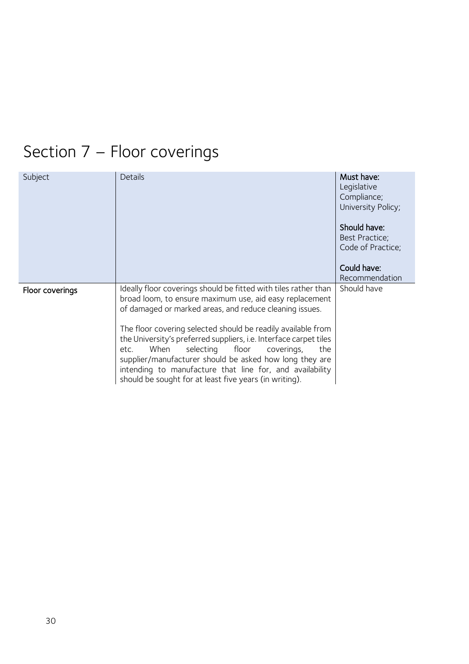# <span id="page-29-0"></span>Section 7 – Floor coverings

<span id="page-29-1"></span>

| Subject         | Details                                                                                                                                                                                                                                                                                                                                                                                                                                                                                                                                                          | Must have:<br>Legislative<br>Compliance;<br>University Policy;<br>Should have:<br>Best Practice;<br>Code of Practice;<br>Could have:<br>Recommendation |
|-----------------|------------------------------------------------------------------------------------------------------------------------------------------------------------------------------------------------------------------------------------------------------------------------------------------------------------------------------------------------------------------------------------------------------------------------------------------------------------------------------------------------------------------------------------------------------------------|--------------------------------------------------------------------------------------------------------------------------------------------------------|
| Floor coverings | Ideally floor coverings should be fitted with tiles rather than<br>broad loom, to ensure maximum use, aid easy replacement<br>of damaged or marked areas, and reduce cleaning issues.<br>The floor covering selected should be readily available from<br>the University's preferred suppliers, i.e. Interface carpet tiles<br>When<br>selecting floor coverings,<br>the<br>etc.<br>supplier/manufacturer should be asked how long they are<br>intending to manufacture that line for, and availability<br>should be sought for at least five years (in writing). | Should have                                                                                                                                            |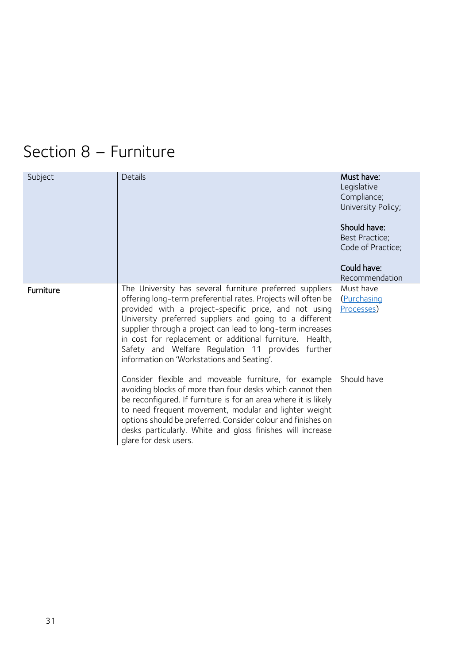## <span id="page-30-0"></span>Section 8 – Furniture

<span id="page-30-1"></span>

| Subject          | Details                                                                                                                                                                                                                                                                                                                                                                                                                                                                    | Must have:<br>Legislative<br>Compliance;<br>University Policy;<br>Should have:<br>Best Practice;<br>Code of Practice;<br>Could have:<br>Recommendation |
|------------------|----------------------------------------------------------------------------------------------------------------------------------------------------------------------------------------------------------------------------------------------------------------------------------------------------------------------------------------------------------------------------------------------------------------------------------------------------------------------------|--------------------------------------------------------------------------------------------------------------------------------------------------------|
| <b>Furniture</b> | The University has several furniture preferred suppliers<br>offering long-term preferential rates. Projects will often be<br>provided with a project-specific price, and not using<br>University preferred suppliers and going to a different<br>supplier through a project can lead to long-term increases<br>in cost for replacement or additional furniture. Health,<br>Safety and Welfare Regulation 11 provides further<br>information on 'Workstations and Seating'. | Must have<br>(Purchasing<br>Processes)                                                                                                                 |
|                  | Consider flexible and moveable furniture, for example<br>avoiding blocks of more than four desks which cannot then<br>be reconfigured. If furniture is for an area where it is likely<br>to need frequent movement, modular and lighter weight<br>options should be preferred. Consider colour and finishes on<br>desks particularly. White and gloss finishes will increase<br>glare for desk users.                                                                      | Should have                                                                                                                                            |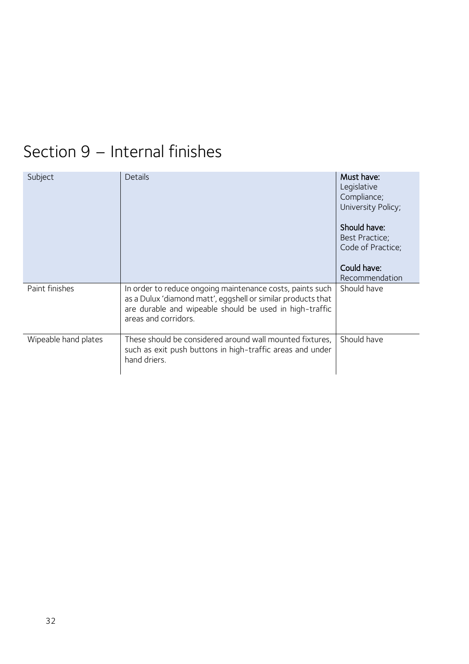### <span id="page-31-0"></span>Section 9 – Internal finishes

<span id="page-31-2"></span><span id="page-31-1"></span>

| Subject              | Details                                                                                                                                                                                                      | Must have:<br>Legislative<br>Compliance;<br>University Policy;<br>Should have:<br>Best Practice;<br>Code of Practice;<br>Could have:<br>Recommendation |
|----------------------|--------------------------------------------------------------------------------------------------------------------------------------------------------------------------------------------------------------|--------------------------------------------------------------------------------------------------------------------------------------------------------|
| Paint finishes       | In order to reduce ongoing maintenance costs, paints such<br>as a Dulux 'diamond matt', eggshell or similar products that<br>are durable and wipeable should be used in high-traffic<br>areas and corridors. | Should have                                                                                                                                            |
| Wipeable hand plates | These should be considered around wall mounted fixtures,<br>such as exit push buttons in high-traffic areas and under<br>hand driers.                                                                        | Should have                                                                                                                                            |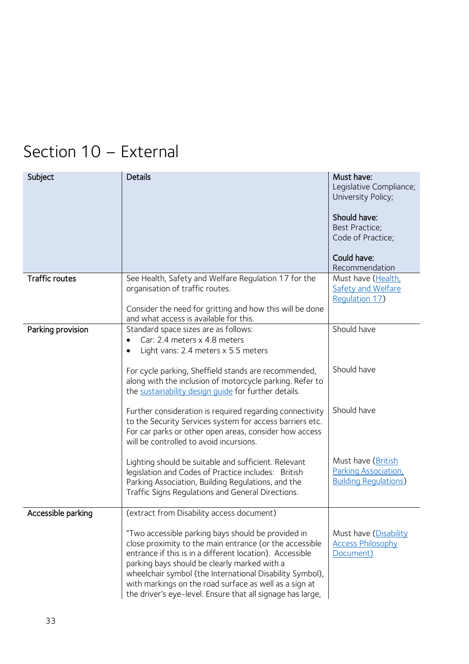## <span id="page-32-0"></span>Section 10 – External

<span id="page-32-3"></span><span id="page-32-2"></span><span id="page-32-1"></span>

| Subject               | <b>Details</b>                                                                                                                                                                                                                                                                                                                                                                                                | Must have:<br>Legislative Compliance;<br>University Policy;                 |
|-----------------------|---------------------------------------------------------------------------------------------------------------------------------------------------------------------------------------------------------------------------------------------------------------------------------------------------------------------------------------------------------------------------------------------------------------|-----------------------------------------------------------------------------|
|                       |                                                                                                                                                                                                                                                                                                                                                                                                               | Should have:<br>Best Practice;<br>Code of Practice;                         |
|                       |                                                                                                                                                                                                                                                                                                                                                                                                               | Could have:<br>Recommendation                                               |
| <b>Traffic routes</b> | See Health, Safety and Welfare Regulation 17 for the<br>organisation of traffic routes.                                                                                                                                                                                                                                                                                                                       | Must have (Health,<br><b>Safety and Welfare</b><br>Regulation 17)           |
|                       | Consider the need for gritting and how this will be done<br>and what access is available for this.                                                                                                                                                                                                                                                                                                            |                                                                             |
| Parking provision     | Standard space sizes are as follows:<br>Car: 2.4 meters x 4.8 meters<br>Light vans: 2.4 meters x 5.5 meters<br>$\bullet$                                                                                                                                                                                                                                                                                      | Should have                                                                 |
|                       | For cycle parking, Sheffield stands are recommended,<br>along with the inclusion of motorcycle parking. Refer to<br>the sustainability design quide for further details.                                                                                                                                                                                                                                      | Should have                                                                 |
|                       | Further consideration is required regarding connectivity<br>to the Security Services system for access barriers etc.<br>For car parks or other open areas, consider how access<br>will be controlled to avoid incursions.                                                                                                                                                                                     | Should have                                                                 |
|                       | Lighting should be suitable and sufficient. Relevant<br>legislation and Codes of Practice includes: British<br>Parking Association, Building Regulations, and the<br>Traffic Signs Regulations and General Directions.                                                                                                                                                                                        | Must have (British<br>Parking Association,<br><b>Building Regulations</b> ) |
| Accessible parking    | (extract from Disability access document)                                                                                                                                                                                                                                                                                                                                                                     |                                                                             |
|                       | "Two accessible parking bays should be provided in<br>close proximity to the main entrance (or the accessible<br>entrance if this is in a different location). Accessible<br>parking bays should be clearly marked with a<br>wheelchair symbol (the International Disability Symbol),<br>with markings on the road surface as well as a sign at<br>the driver's eye-level. Ensure that all signage has large, | Must have (Disability<br><b>Access Philosophy</b><br>Document)              |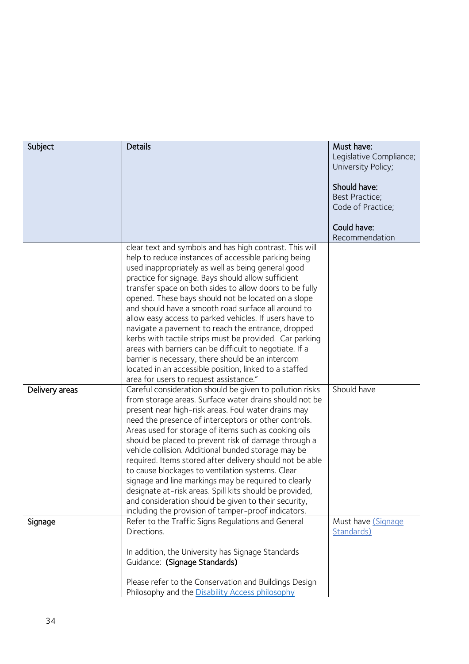<span id="page-33-1"></span><span id="page-33-0"></span>

| Subject        | <b>Details</b>                                                                                                                                                                                                                                                                                                                                                                                                                                                                                                                                                                                                                                                                                                                                                                                      | Must have:<br>Legislative Compliance;<br>University Policy;<br>Should have:<br>Best Practice;<br>Code of Practice;<br>Could have:<br>Recommendation |
|----------------|-----------------------------------------------------------------------------------------------------------------------------------------------------------------------------------------------------------------------------------------------------------------------------------------------------------------------------------------------------------------------------------------------------------------------------------------------------------------------------------------------------------------------------------------------------------------------------------------------------------------------------------------------------------------------------------------------------------------------------------------------------------------------------------------------------|-----------------------------------------------------------------------------------------------------------------------------------------------------|
|                | clear text and symbols and has high contrast. This will<br>help to reduce instances of accessible parking being<br>used inappropriately as well as being general good<br>practice for signage. Bays should allow sufficient<br>transfer space on both sides to allow doors to be fully<br>opened. These bays should not be located on a slope<br>and should have a smooth road surface all around to<br>allow easy access to parked vehicles. If users have to<br>navigate a pavement to reach the entrance, dropped<br>kerbs with tactile strips must be provided. Car parking<br>areas with barriers can be difficult to negotiate. If a<br>barrier is necessary, there should be an intercom<br>located in an accessible position, linked to a staffed<br>area for users to request assistance." |                                                                                                                                                     |
| Delivery areas | Careful consideration should be given to pollution risks<br>from storage areas. Surface water drains should not be<br>present near high-risk areas. Foul water drains may<br>need the presence of interceptors or other controls.<br>Areas used for storage of items such as cooking oils<br>should be placed to prevent risk of damage through a<br>vehicle collision. Additional bunded storage may be<br>required. Items stored after delivery should not be able<br>to cause blockages to ventilation systems. Clear<br>signage and line markings may be required to clearly<br>designate at-risk areas. Spill kits should be provided<br>and consideration should be given to their security,<br>including the provision of tamper-proof indicators.                                           | Should have                                                                                                                                         |
| Signage        | Refer to the Traffic Signs Regulations and General<br>Directions.<br>In addition, the University has Signage Standards<br>Guidance: (Signage Standards)<br>Please refer to the Conservation and Buildings Design<br>Philosophy and the Disability Access philosophy                                                                                                                                                                                                                                                                                                                                                                                                                                                                                                                                 | Must have (Signage<br>Standards)                                                                                                                    |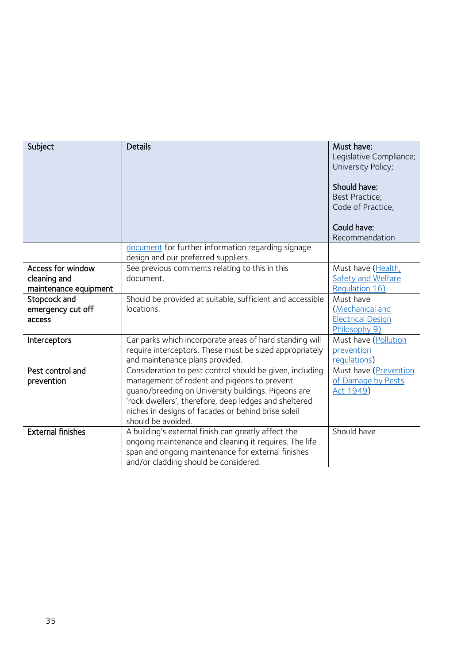<span id="page-34-4"></span><span id="page-34-3"></span><span id="page-34-2"></span><span id="page-34-1"></span><span id="page-34-0"></span>

| Subject                                                    | <b>Details</b>                                                                                                                                                                                                                                                                                       | Must have:<br>Legislative Compliance;<br>University Policy;<br>Should have:<br>Best Practice:<br>Code of Practice;<br>Could have:<br>Recommendation |
|------------------------------------------------------------|------------------------------------------------------------------------------------------------------------------------------------------------------------------------------------------------------------------------------------------------------------------------------------------------------|-----------------------------------------------------------------------------------------------------------------------------------------------------|
|                                                            | document for further information regarding signage<br>design and our preferred suppliers.                                                                                                                                                                                                            |                                                                                                                                                     |
| Access for window<br>cleaning and<br>maintenance equipment | See previous comments relating to this in this<br>document.                                                                                                                                                                                                                                          | Must have (Health,<br>Safety and Welfare<br>Regulation 16)                                                                                          |
| Stopcock and<br>emergency cut off<br>access                | Should be provided at suitable, sufficient and accessible<br>locations.                                                                                                                                                                                                                              | Must have<br>(Mechanical and<br><b>Electrical Design</b><br>Philosophy 9)                                                                           |
| Interceptors                                               | Car parks which incorporate areas of hard standing will<br>require interceptors. These must be sized appropriately<br>and maintenance plans provided.                                                                                                                                                | Must have (Pollution<br>prevention<br>requlations)                                                                                                  |
| Pest control and<br>prevention                             | Consideration to pest control should be given, including<br>management of rodent and pigeons to prevent<br>guano/breeding on University buildings. Pigeons are<br>'rock dwellers', therefore, deep ledges and sheltered<br>niches in designs of facades or behind brise soleil<br>should be avoided. | Must have (Prevention<br>of Damage by Pests<br>Act 1949)                                                                                            |
| <b>External finishes</b>                                   | A building's external finish can greatly affect the<br>ongoing maintenance and cleaning it requires. The life<br>span and ongoing maintenance for external finishes<br>and/or cladding should be considered.                                                                                         | Should have                                                                                                                                         |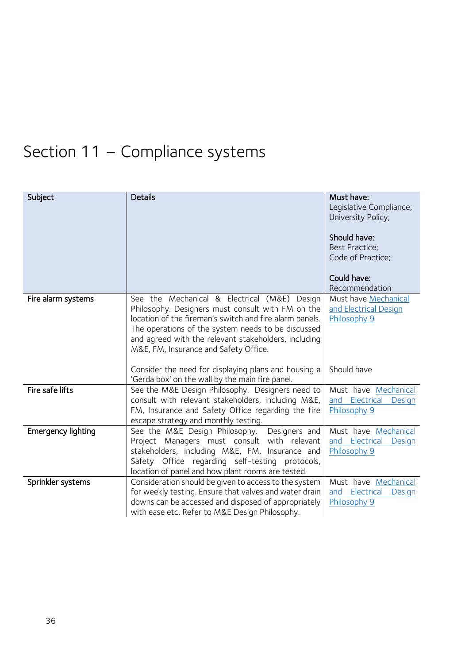## <span id="page-35-0"></span>Section 11 – Compliance systems

<span id="page-35-4"></span><span id="page-35-3"></span><span id="page-35-2"></span><span id="page-35-1"></span>

| Subject                   | <b>Details</b>                                                                                                                                                                                                                                                                                                      | Must have:<br>Legislative Compliance;<br>University Policy;<br>Should have:<br>Best Practice;<br>Code of Practice;<br>Could have: |
|---------------------------|---------------------------------------------------------------------------------------------------------------------------------------------------------------------------------------------------------------------------------------------------------------------------------------------------------------------|-----------------------------------------------------------------------------------------------------------------------------------|
| Fire alarm systems        | See the Mechanical & Electrical (M&E) Design<br>Philosophy. Designers must consult with FM on the<br>location of the fireman's switch and fire alarm panels.<br>The operations of the system needs to be discussed<br>and agreed with the relevant stakeholders, including<br>M&E, FM, Insurance and Safety Office. | Recommendation<br>Must have <b>Mechanical</b><br>and Electrical Design<br>Philosophy 9                                            |
|                           | Consider the need for displaying plans and housing a<br>'Gerda box' on the wall by the main fire panel.                                                                                                                                                                                                             | Should have                                                                                                                       |
| Fire safe lifts           | See the M&E Design Philosophy. Designers need to<br>consult with relevant stakeholders, including M&E,<br>FM, Insurance and Safety Office regarding the fire<br>escape strategy and monthly testing.                                                                                                                | Must have Mechanical<br>and Electrical<br><b>Design</b><br>Philosophy 9                                                           |
| <b>Emergency lighting</b> | See the M&E Design Philosophy.<br>Designers and<br>Project Managers must consult with relevant<br>stakeholders, including M&E, FM, Insurance and<br>Safety Office regarding self-testing protocols,<br>location of panel and how plant rooms are tested.                                                            | Must have Mechanical<br>and Electrical<br>Design<br>Philosophy 9                                                                  |
| Sprinkler systems         | Consideration should be given to access to the system<br>for weekly testing. Ensure that valves and water drain<br>downs can be accessed and disposed of appropriately<br>with ease etc. Refer to M&E Design Philosophy.                                                                                            | Must have Mechanical<br>and Electrical<br>Design<br>Philosophy 9                                                                  |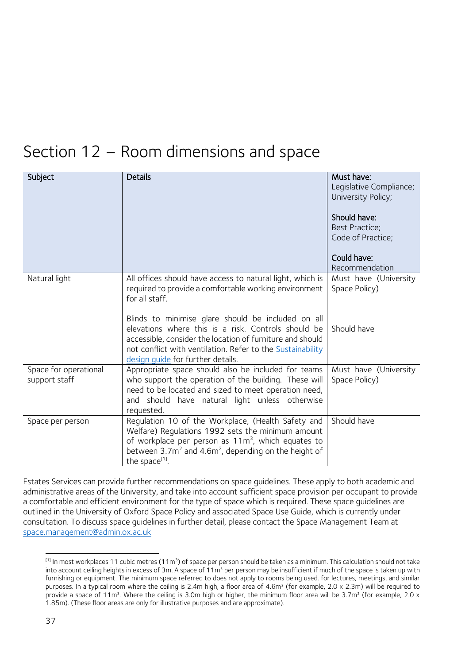### <span id="page-36-0"></span>Section 12 – Room dimensions and space

<span id="page-36-1"></span>

| Subject                                | <b>Details</b>                                                                                                                                                                                                                                                            | Must have:<br>Legislative Compliance;<br>University Policy;<br>Should have:<br>Best Practice;<br>Code of Practice;<br>Could have: |
|----------------------------------------|---------------------------------------------------------------------------------------------------------------------------------------------------------------------------------------------------------------------------------------------------------------------------|-----------------------------------------------------------------------------------------------------------------------------------|
|                                        |                                                                                                                                                                                                                                                                           | Recommendation                                                                                                                    |
| Natural light                          | All offices should have access to natural light, which is<br>required to provide a comfortable working environment<br>for all staff.                                                                                                                                      | Must have (University<br>Space Policy)                                                                                            |
|                                        | Blinds to minimise glare should be included on all<br>elevations where this is a risk. Controls should be<br>accessible, consider the location of furniture and should<br>not conflict with ventilation. Refer to the Sustainability<br>design quide for further details. | Should have                                                                                                                       |
| Space for operational<br>support staff | Appropriate space should also be included for teams<br>who support the operation of the building. These will<br>need to be located and sized to meet operation need,<br>and should have natural light unless otherwise<br>requested.                                      | Must have (University<br>Space Policy)                                                                                            |
| Space per person                       | Regulation 10 of the Workplace, (Health Safety and<br>Welfare) Regulations 1992 sets the minimum amount<br>of workplace per person as $11m3$ , which equates to<br>between $3.7m^2$ and $4.6m^2$ , depending on the height of<br>the space <sup>[1]</sup> .               | Should have                                                                                                                       |

<span id="page-36-3"></span><span id="page-36-2"></span>Estates Services can provide further recommendations on space guidelines. These apply to both academic and administrative areas of the University, and take into account sufficient space provision per occupant to provide a comfortable and efficient environment for the type of space which is required. These space guidelines are outlined in the University of Oxford Space Policy and associated Space Use Guide, which is currently under consultation. To discuss space guidelines in further detail, please contact the Space Management Team at [space.management@admin.ox.ac.uk](mailto:space.management@admin.ox.ac.uk)

1

<sup>&</sup>lt;sup>[1]</sup> In most workplaces 11 cubic metres (11m<sup>3</sup>) of space per person should be taken as a minimum. This calculation should not take into account ceiling heights in excess of 3m. A space of 11m<sup>3</sup> per person may be insufficient if much of the space is taken up with furnishing or equipment. The minimum space referred to does not apply to rooms being used. for lectures, meetings, and similar purposes. In a typical room where the ceiling is 2.4m high, a floor area of 4.6m² (for example, 2.0 x 2.3m) will be required to provide a space of 11m<sup>3</sup>. Where the ceiling is 3.0m high or higher, the minimum floor area will be 3.7m<sup>2</sup> (for example, 2.0 x 1.85m). (These floor areas are only for illustrative purposes and are approximate).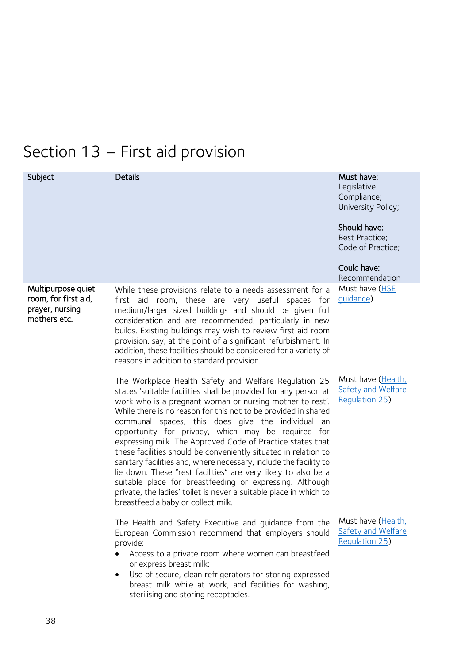## <span id="page-37-0"></span>Section 13 – First aid provision

<span id="page-37-1"></span>

| Subject                                                                       | <b>Details</b>                                                                                                                                                                                                                                                                                                                                                                                                                                                                                                                                                                                                                                                                 | Must have:<br>Legislative<br>Compliance;<br>University Policy;<br>Should have:<br>Best Practice;<br>Code of Practice;<br>Could have:<br>Recommendation |
|-------------------------------------------------------------------------------|--------------------------------------------------------------------------------------------------------------------------------------------------------------------------------------------------------------------------------------------------------------------------------------------------------------------------------------------------------------------------------------------------------------------------------------------------------------------------------------------------------------------------------------------------------------------------------------------------------------------------------------------------------------------------------|--------------------------------------------------------------------------------------------------------------------------------------------------------|
| Multipurpose quiet<br>room, for first aid,<br>prayer, nursing<br>mothers etc. | While these provisions relate to a needs assessment for a<br>first aid room, these are very useful spaces for<br>medium/larger sized buildings and should be given full<br>consideration and are recommended, particularly in new<br>builds. Existing buildings may wish to review first aid room<br>provision, say, at the point of a significant refurbishment. In<br>addition, these facilities should be considered for a variety of<br>reasons in addition to standard provision.<br>The Workplace Health Safety and Welfare Regulation 25<br>states 'suitable facilities shall be provided for any person at<br>work who is a pregnant woman or nursing mother to rest'. | Must have (HSE<br>quidance)<br>Must have (Health,<br>Safety and Welfare<br><b>Requlation 25)</b>                                                       |
|                                                                               | While there is no reason for this not to be provided in shared<br>communal spaces, this does give the individual an<br>opportunity for privacy, which may be required for<br>expressing milk. The Approved Code of Practice states that<br>these facilities should be conveniently situated in relation to<br>sanitary facilities and, where necessary, include the facility to<br>lie down. These "rest facilities" are very likely to also be a<br>suitable place for breastfeeding or expressing. Although<br>private, the ladies' toilet is never a suitable place in which to<br>breastfeed a baby or collect milk.                                                       |                                                                                                                                                        |
|                                                                               | The Health and Safety Executive and guidance from the   Must have (Health,<br>European Commission recommend that employers should<br>provide:<br>Access to a private room where women can breastfeed<br>$\bullet$<br>or express breast milk;<br>Use of secure, clean refrigerators for storing expressed<br>breast milk while at work, and facilities for washing,<br>sterilising and storing receptacles.                                                                                                                                                                                                                                                                     | Safety and Welfare<br><b>Regulation 25)</b>                                                                                                            |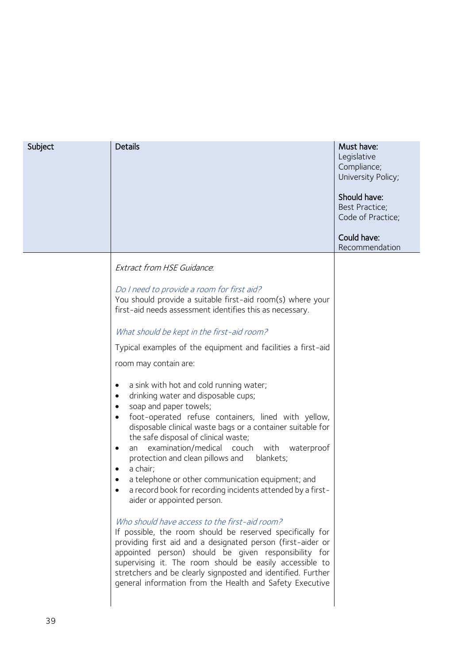| Subject | <b>Details</b>                                                                                                                                                                                                                                                                                                                                                                                                                                                                                                                                                                                                              | Must have:<br>Legislative<br>Compliance;<br>University Policy;<br>Should have:<br><b>Best Practice;</b><br>Code of Practice;<br>Could have:<br>Recommendation |
|---------|-----------------------------------------------------------------------------------------------------------------------------------------------------------------------------------------------------------------------------------------------------------------------------------------------------------------------------------------------------------------------------------------------------------------------------------------------------------------------------------------------------------------------------------------------------------------------------------------------------------------------------|---------------------------------------------------------------------------------------------------------------------------------------------------------------|
|         | <b>Extract from HSE Guidance.</b>                                                                                                                                                                                                                                                                                                                                                                                                                                                                                                                                                                                           |                                                                                                                                                               |
|         | Do I need to provide a room for first aid?<br>You should provide a suitable first-aid room(s) where your<br>first-aid needs assessment identifies this as necessary.                                                                                                                                                                                                                                                                                                                                                                                                                                                        |                                                                                                                                                               |
|         | What should be kept in the first-aid room?                                                                                                                                                                                                                                                                                                                                                                                                                                                                                                                                                                                  |                                                                                                                                                               |
|         | Typical examples of the equipment and facilities a first-aid                                                                                                                                                                                                                                                                                                                                                                                                                                                                                                                                                                |                                                                                                                                                               |
|         | room may contain are:                                                                                                                                                                                                                                                                                                                                                                                                                                                                                                                                                                                                       |                                                                                                                                                               |
|         | a sink with hot and cold running water;<br>$\bullet$<br>drinking water and disposable cups;<br>$\bullet$<br>soap and paper towels;<br>$\bullet$<br>foot-operated refuse containers, lined with yellow,<br>$\bullet$<br>disposable clinical waste bags or a container suitable for<br>the safe disposal of clinical waste;<br>an examination/medical couch with waterproof<br>$\bullet$<br>protection and clean pillows and blankets;<br>a chair;<br>$\bullet$<br>a telephone or other communication equipment; and<br>$\bullet$<br>a record book for recording incidents attended by a first-<br>aider or appointed person. |                                                                                                                                                               |
|         | Who should have access to the first-aid room?<br>If possible, the room should be reserved specifically for<br>providing first aid and a designated person (first-aider or<br>appointed person) should be given responsibility for<br>supervising it. The room should be easily accessible to<br>stretchers and be clearly signposted and identified. Further<br>general information from the Health and Safety Executive                                                                                                                                                                                                    |                                                                                                                                                               |

39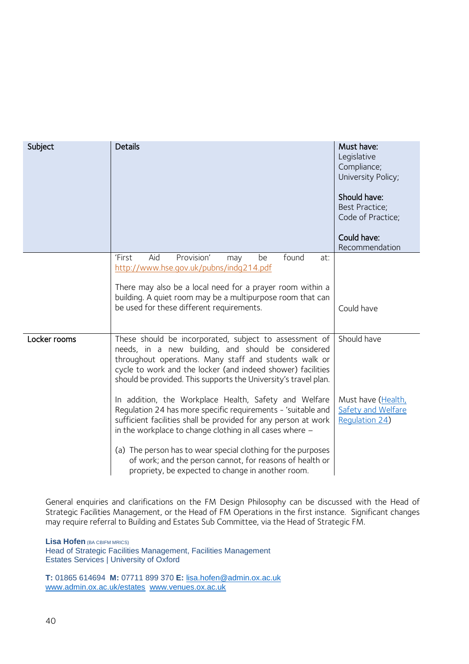| Subject      | <b>Details</b>                                                                                                                                                                                                                                                                                           | Must have:<br>Legislative<br>Compliance;<br>University Policy;    |
|--------------|----------------------------------------------------------------------------------------------------------------------------------------------------------------------------------------------------------------------------------------------------------------------------------------------------------|-------------------------------------------------------------------|
|              |                                                                                                                                                                                                                                                                                                          | Should have:<br>Best Practice;<br>Code of Practice;               |
|              |                                                                                                                                                                                                                                                                                                          | Could have:<br>Recommendation                                     |
|              | Provision'<br>found<br>'First<br>Aid<br>be<br>may<br>at:<br>http://www.hse.gov.uk/pubns/indq214.pdf                                                                                                                                                                                                      |                                                                   |
|              | There may also be a local need for a prayer room within a<br>building. A quiet room may be a multipurpose room that can                                                                                                                                                                                  |                                                                   |
|              | be used for these different requirements.                                                                                                                                                                                                                                                                | Could have                                                        |
| Locker rooms | These should be incorporated, subject to assessment of<br>needs, in a new building, and should be considered<br>throughout operations. Many staff and students walk or<br>cycle to work and the locker (and indeed shower) facilities<br>should be provided. This supports the University's travel plan. | Should have                                                       |
|              | In addition, the Workplace Health, Safety and Welfare<br>Regulation 24 has more specific requirements - 'suitable and<br>sufficient facilities shall be provided for any person at work<br>in the workplace to change clothing in all cases where $-$                                                    | Must have (Health,<br>Safety and Welfare<br><b>Requlation 24)</b> |
|              | (a) The person has to wear special clothing for the purposes<br>of work; and the person cannot, for reasons of health or<br>propriety, be expected to change in another room.                                                                                                                            |                                                                   |

<span id="page-39-0"></span>General enquiries and clarifications on the FM Design Philosophy can be discussed with the Head of Strategic Facilities Management, or the Head of FM Operations in the first instance. Significant changes may require referral to Building and Estates Sub Committee, via the Head of Strategic FM.

**Lisa Hofen** (BA CBIFM MRICS)

Head of Strategic Facilities Management, Facilities Management Estates Services | University of Oxford

**T:** 01865 614694 **M:** 07711 899 370 **E:** [lisa.hofen@admin.ox.ac.uk](http://www.admin.ox.ac.uk/estates) [www.admin.ox.ac.uk/estates](http://www.admin.ox.ac.uk/estates) [www.venues.ox.ac.uk](http://www.venues.ox.ac.uk/)